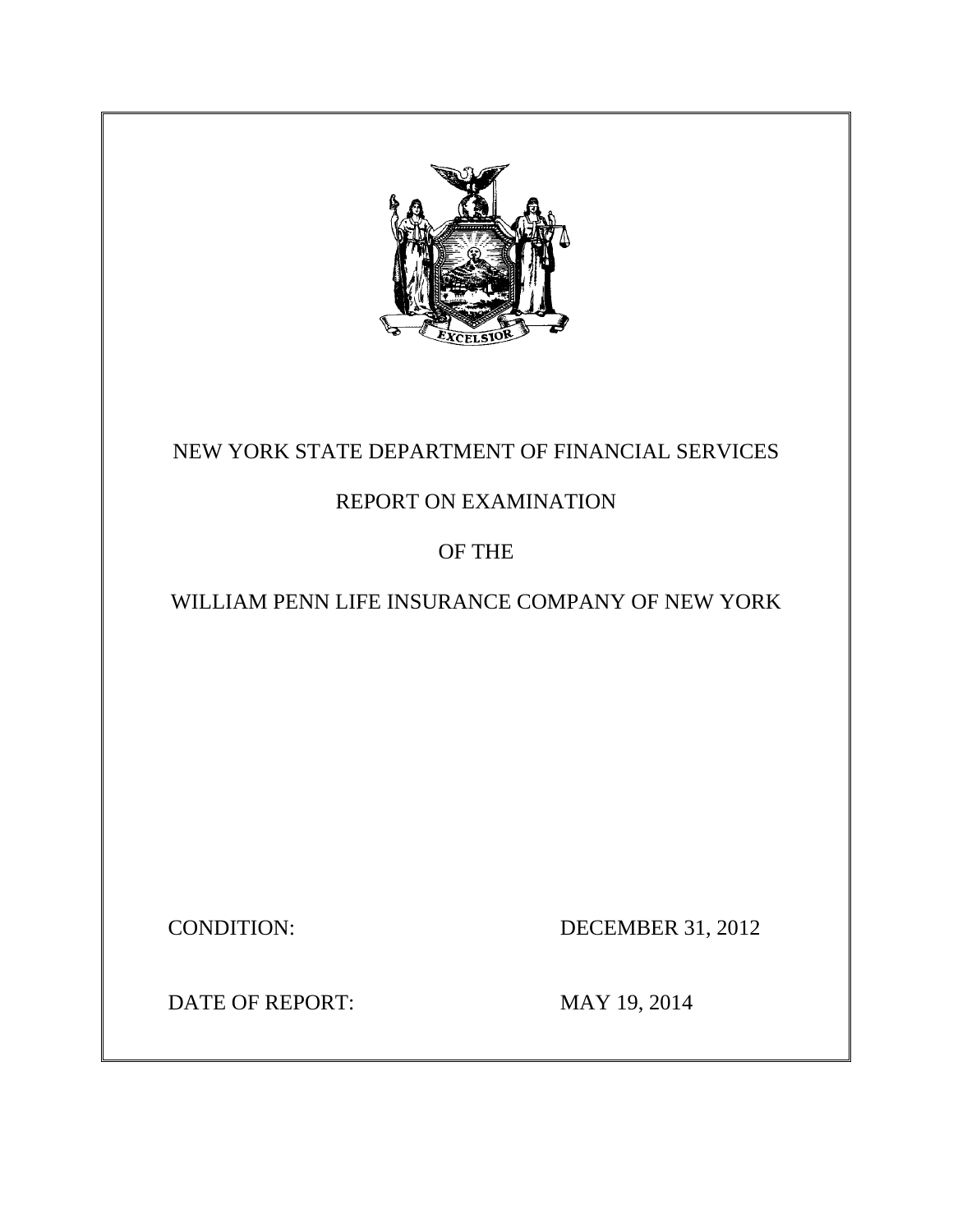

# NEW YORK STATE DEPARTMENT OF FINANCIAL SERVICES

# REPORT ON EXAMINATION

# OF THE

# WILLIAM PENN LIFE INSURANCE COMPANY OF NEW YORK

CONDITION: DECEMBER 31, 2012

DATE OF REPORT: MAY 19, 2014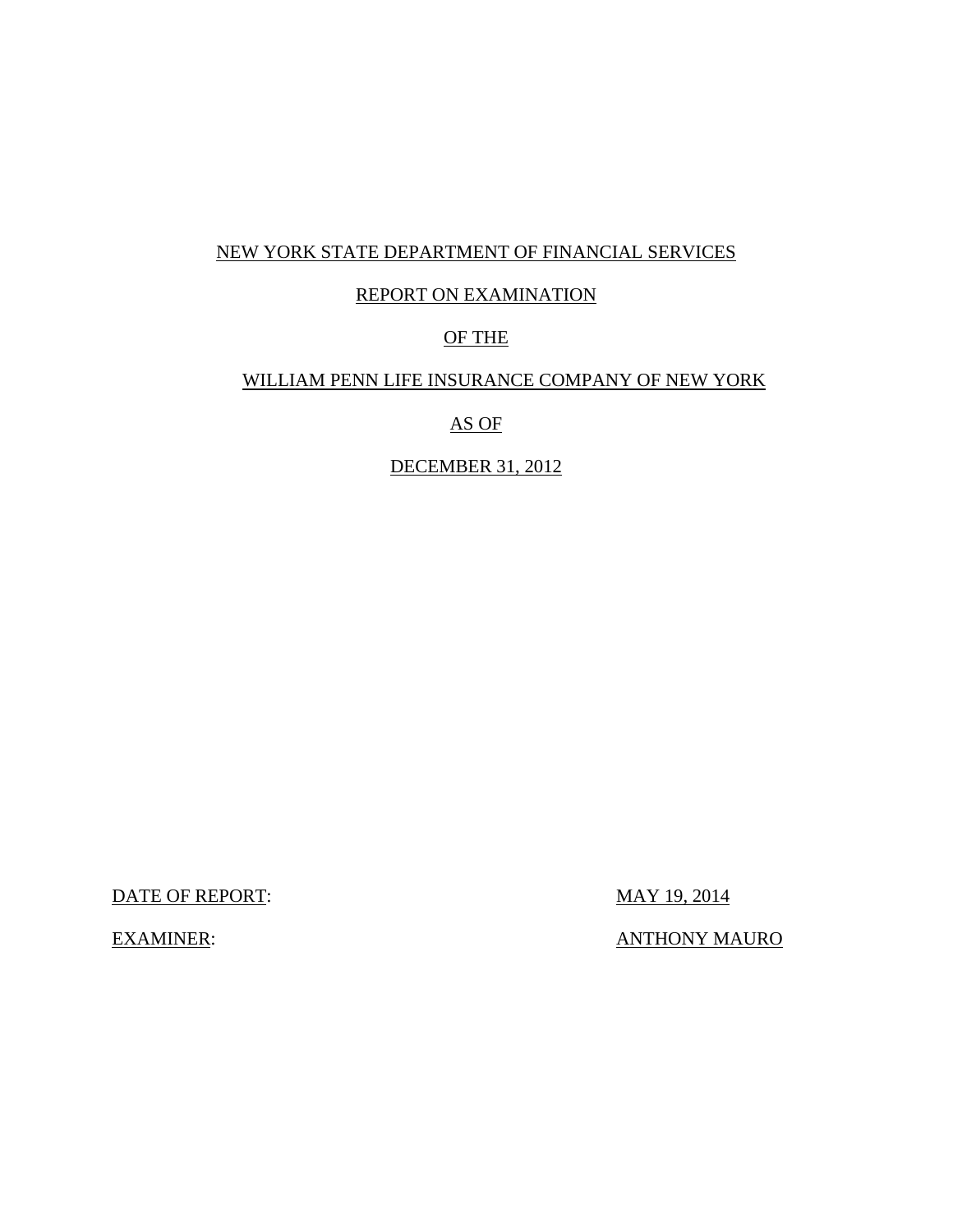### NEW YORK STATE DEPARTMENT OF FINANCIAL SERVICES

### REPORT ON EXAMINATION

### OF THE

# WILLIAM PENN LIFE INSURANCE COMPANY OF NEW YORK

## AS OF

### DECEMBER 31, 2012

DATE OF REPORT: MAY 19, 2014

EXAMINER: ANTHONY MAURO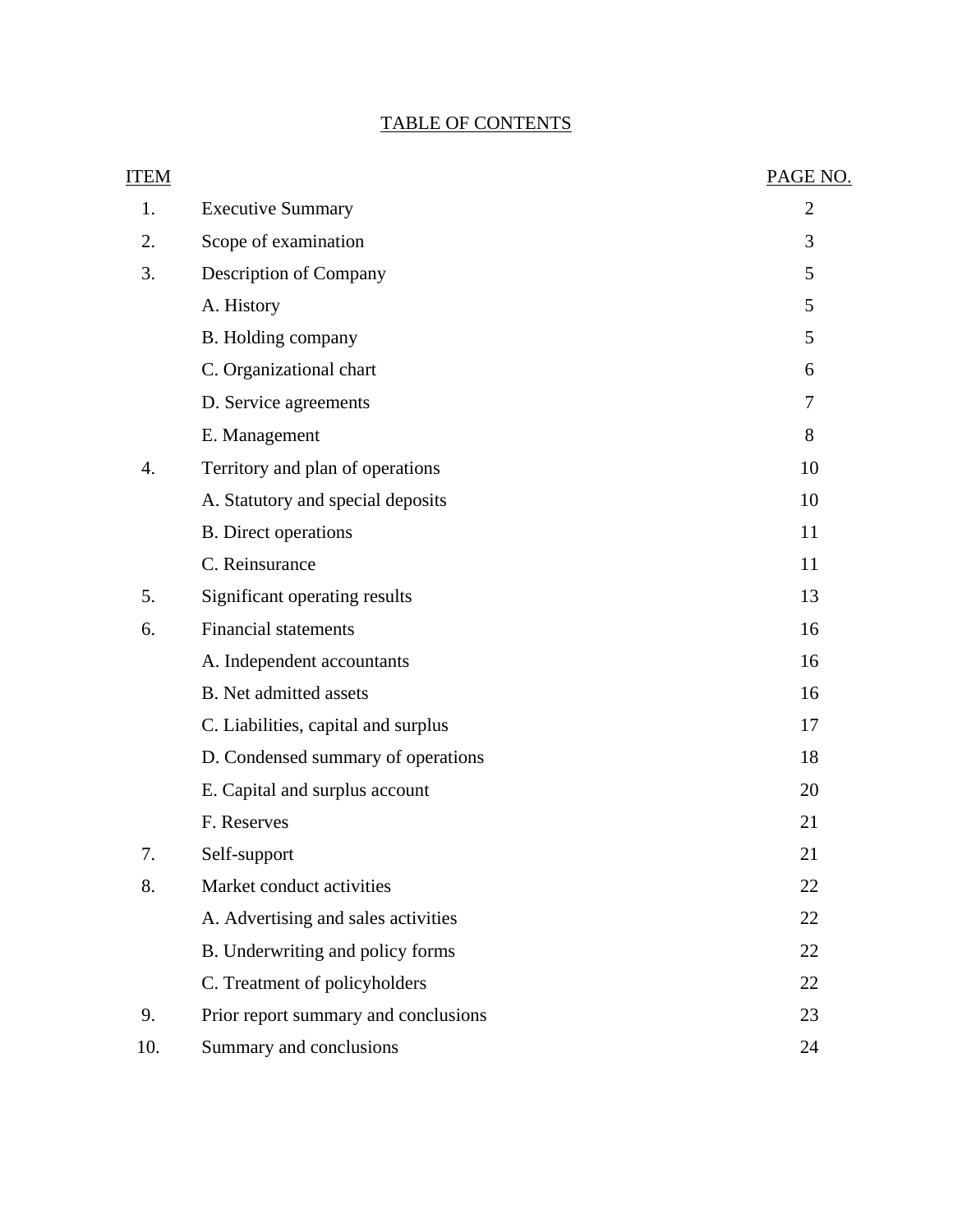# TABLE OF CONTENTS

| ITEM |                                      | PAGE NO.       |
|------|--------------------------------------|----------------|
| 1.   | <b>Executive Summary</b>             | $\overline{2}$ |
| 2.   | Scope of examination                 | 3              |
| 3.   | Description of Company               | 5              |
|      | A. History                           | 5              |
|      | B. Holding company                   | 5              |
|      | C. Organizational chart              | 6              |
|      | D. Service agreements                | $\overline{7}$ |
|      | E. Management                        | 8              |
| 4.   | Territory and plan of operations     | 10             |
|      | A. Statutory and special deposits    | 10             |
|      | <b>B.</b> Direct operations          | 11             |
|      | C. Reinsurance                       | 11             |
| 5.   | Significant operating results        | 13             |
| 6.   | <b>Financial statements</b>          | 16             |
|      | A. Independent accountants           | 16             |
|      | <b>B.</b> Net admitted assets        | 16             |
|      | C. Liabilities, capital and surplus  | 17             |
|      | D. Condensed summary of operations   | 18             |
|      | E. Capital and surplus account       | 20             |
|      | F. Reserves                          | 21             |
| 7.   | Self-support                         | 21             |
| 8.   | Market conduct activities            | 22             |
|      | A. Advertising and sales activities  | 22             |
|      | B. Underwriting and policy forms     | 22             |
|      | C. Treatment of policyholders        | 22             |
| 9.   | Prior report summary and conclusions | 23             |
| 10.  | Summary and conclusions              | 24             |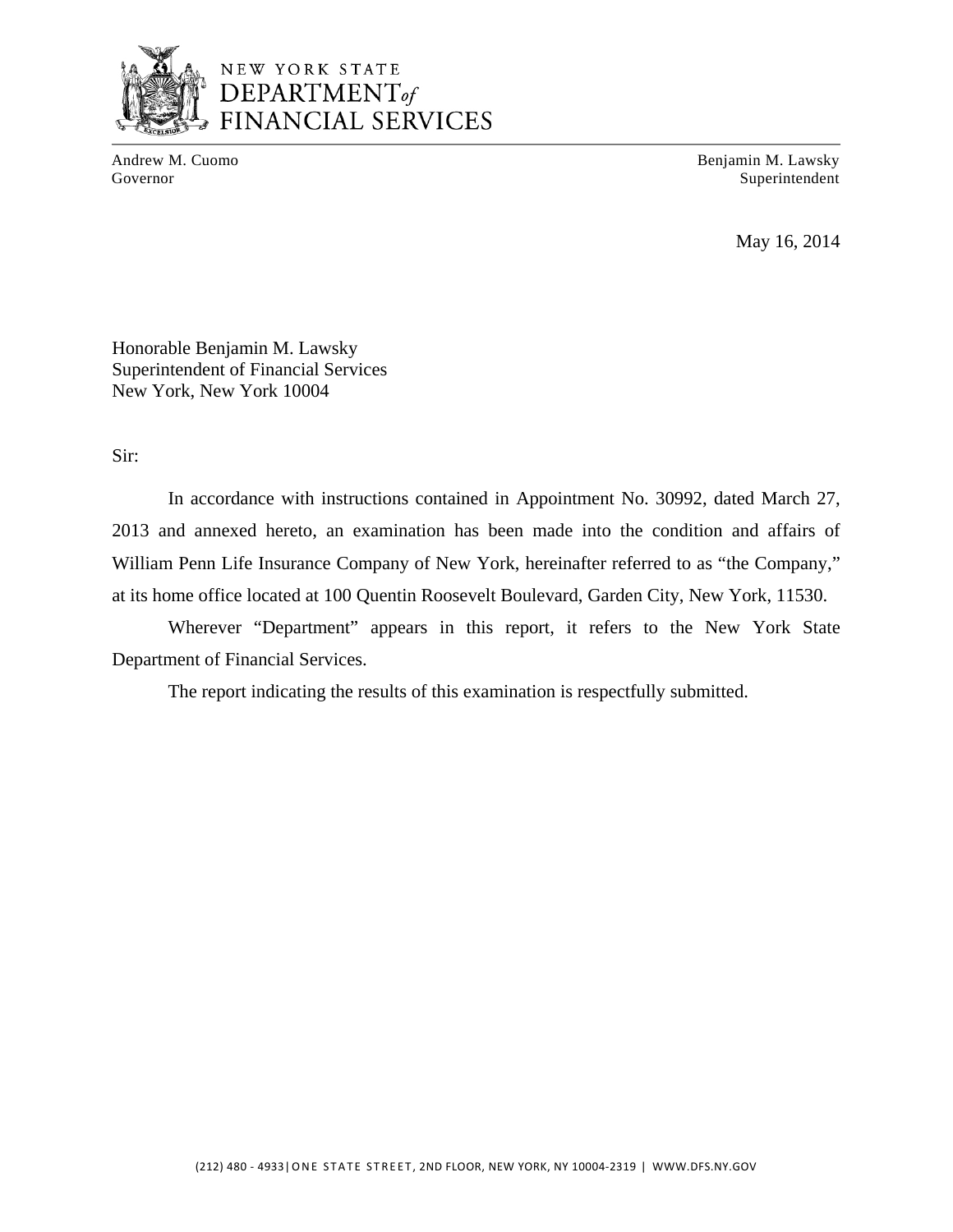

# NEW YORK STATE DEPARTMENT<sub>of</sub> FINANCIAL SERVICES

Andrew M. Cuomo **Benjamin M. Lawsky** Governor Superintendent

May 16, 2014

Honorable Benjamin M. Lawsky Superintendent of Financial Services New York, New York 10004

Sir:

In accordance with instructions contained in Appointment No. 30992, dated March 27, 2013 and annexed hereto, an examination has been made into the condition and affairs of William Penn Life Insurance Company of New York, hereinafter referred to as "the Company," at its home office located at 100 Quentin Roosevelt Boulevard, Garden City, New York, 11530.

Wherever "Department" appears in this report, it refers to the New York State Department of Financial Services.

The report indicating the results of this examination is respectfully submitted.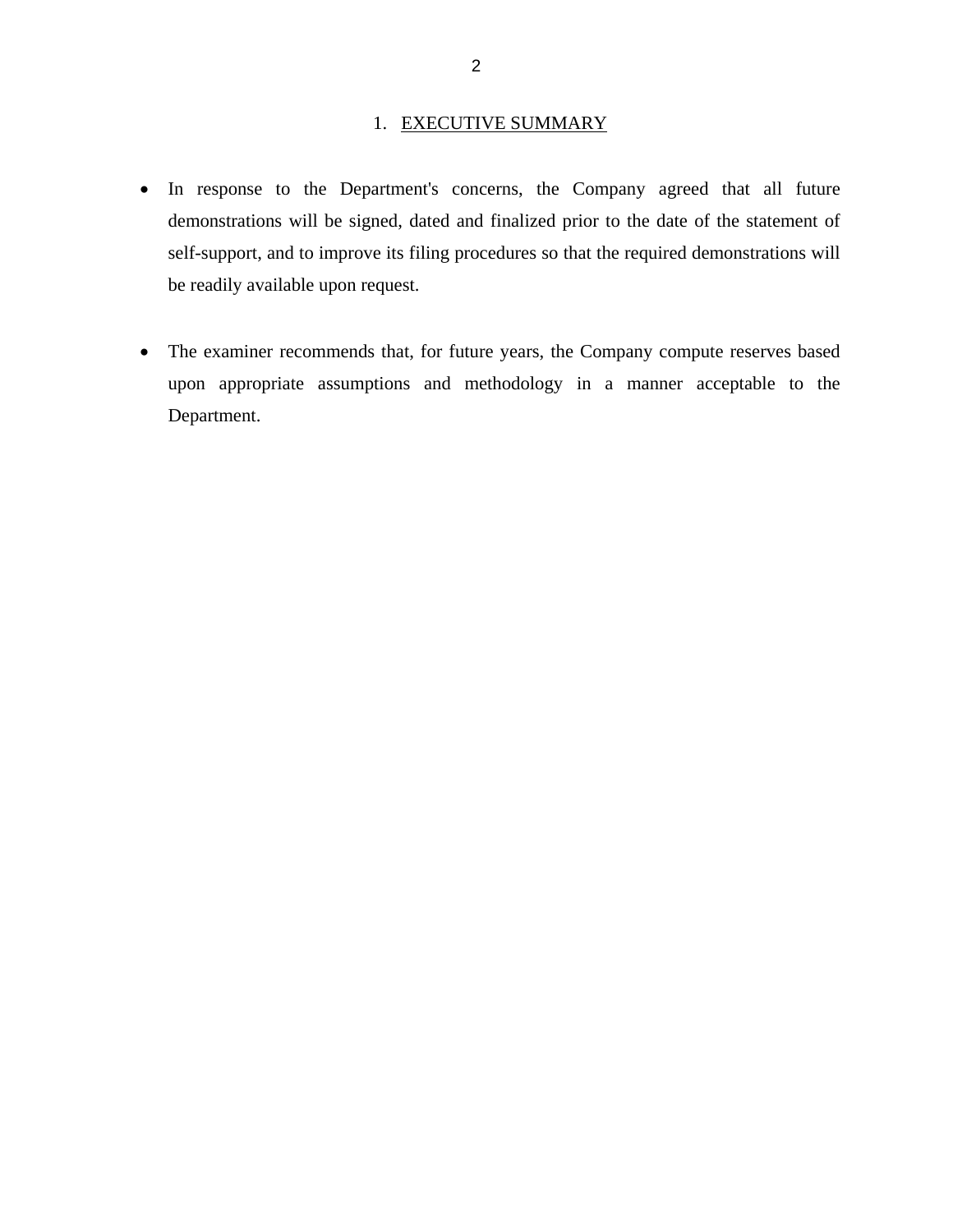### 1. EXECUTIVE SUMMARY

- <span id="page-4-0"></span> In response to the Department's concerns, the Company agreed that all future demonstrations will be signed, dated and finalized prior to the date of the statement of self-support, and to improve its filing procedures so that the required demonstrations will be readily available upon request.
- The examiner recommends that, for future years, the Company compute reserves based upon appropriate assumptions and methodology in a manner acceptable to the Department.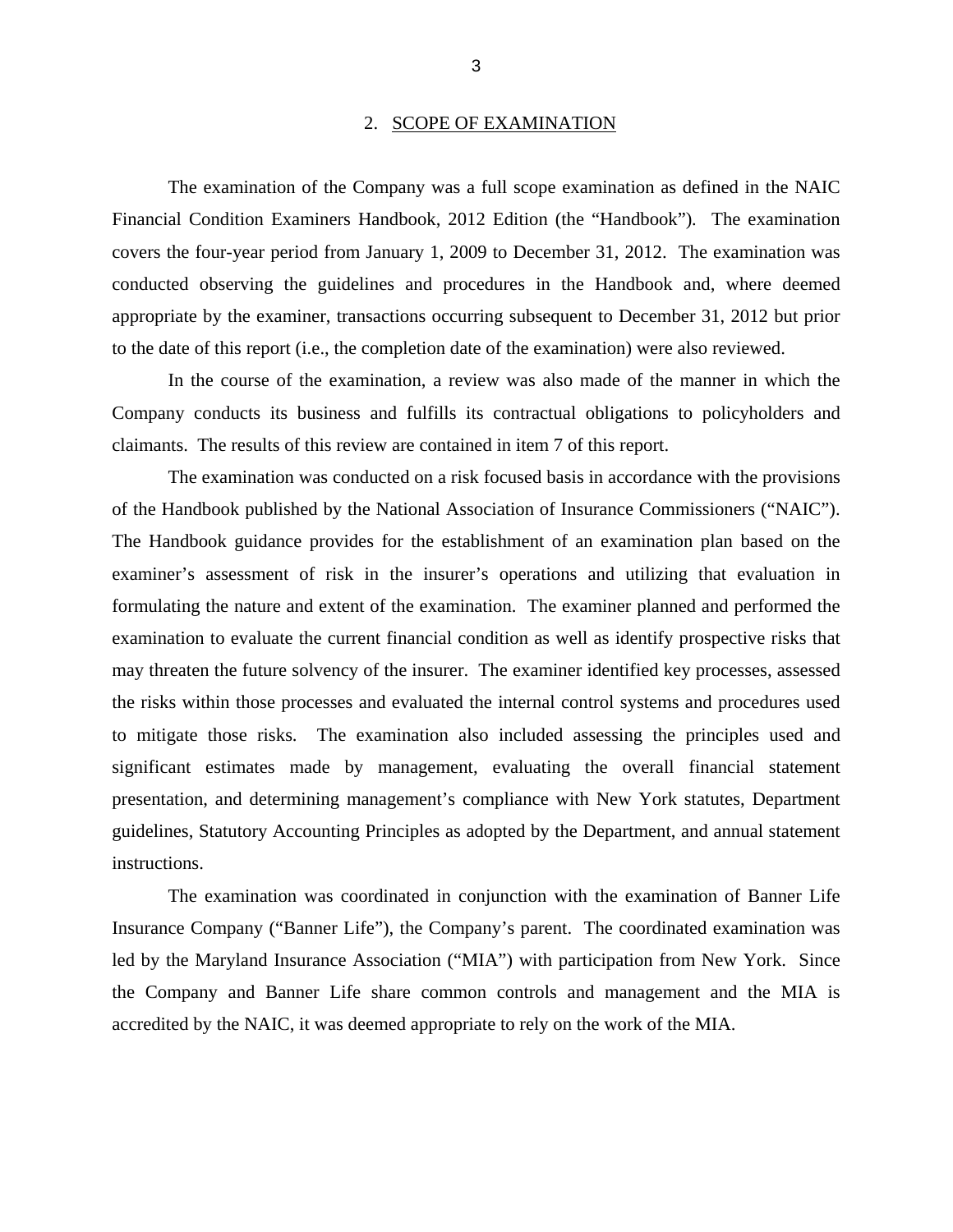#### 2. SCOPE OF EXAMINATION

<span id="page-5-0"></span>The examination of the Company was a full scope examination as defined in the NAIC Financial Condition Examiners Handbook, 2012 Edition (the "Handbook")*.* The examination covers the four-year period from January 1, 2009 to December 31, 2012. The examination was conducted observing the guidelines and procedures in the Handbook and, where deemed appropriate by the examiner, transactions occurring subsequent to December 31, 2012 but prior to the date of this report (i.e., the completion date of the examination) were also reviewed.

In the course of the examination, a review was also made of the manner in which the Company conducts its business and fulfills its contractual obligations to policyholders and claimants. The results of this review are contained in item 7 of this report.

The examination was conducted on a risk focused basis in accordance with the provisions of the Handbook published by the National Association of Insurance Commissioners ("NAIC"). The Handbook guidance provides for the establishment of an examination plan based on the examiner's assessment of risk in the insurer's operations and utilizing that evaluation in formulating the nature and extent of the examination. The examiner planned and performed the examination to evaluate the current financial condition as well as identify prospective risks that may threaten the future solvency of the insurer. The examiner identified key processes, assessed the risks within those processes and evaluated the internal control systems and procedures used to mitigate those risks. The examination also included assessing the principles used and significant estimates made by management, evaluating the overall financial statement presentation, and determining management's compliance with New York statutes, Department guidelines, Statutory Accounting Principles as adopted by the Department, and annual statement instructions.

The examination was coordinated in conjunction with the examination of Banner Life Insurance Company ("Banner Life"), the Company's parent. The coordinated examination was led by the Maryland Insurance Association ("MIA") with participation from New York. Since the Company and Banner Life share common controls and management and the MIA is accredited by the NAIC, it was deemed appropriate to rely on the work of the MIA.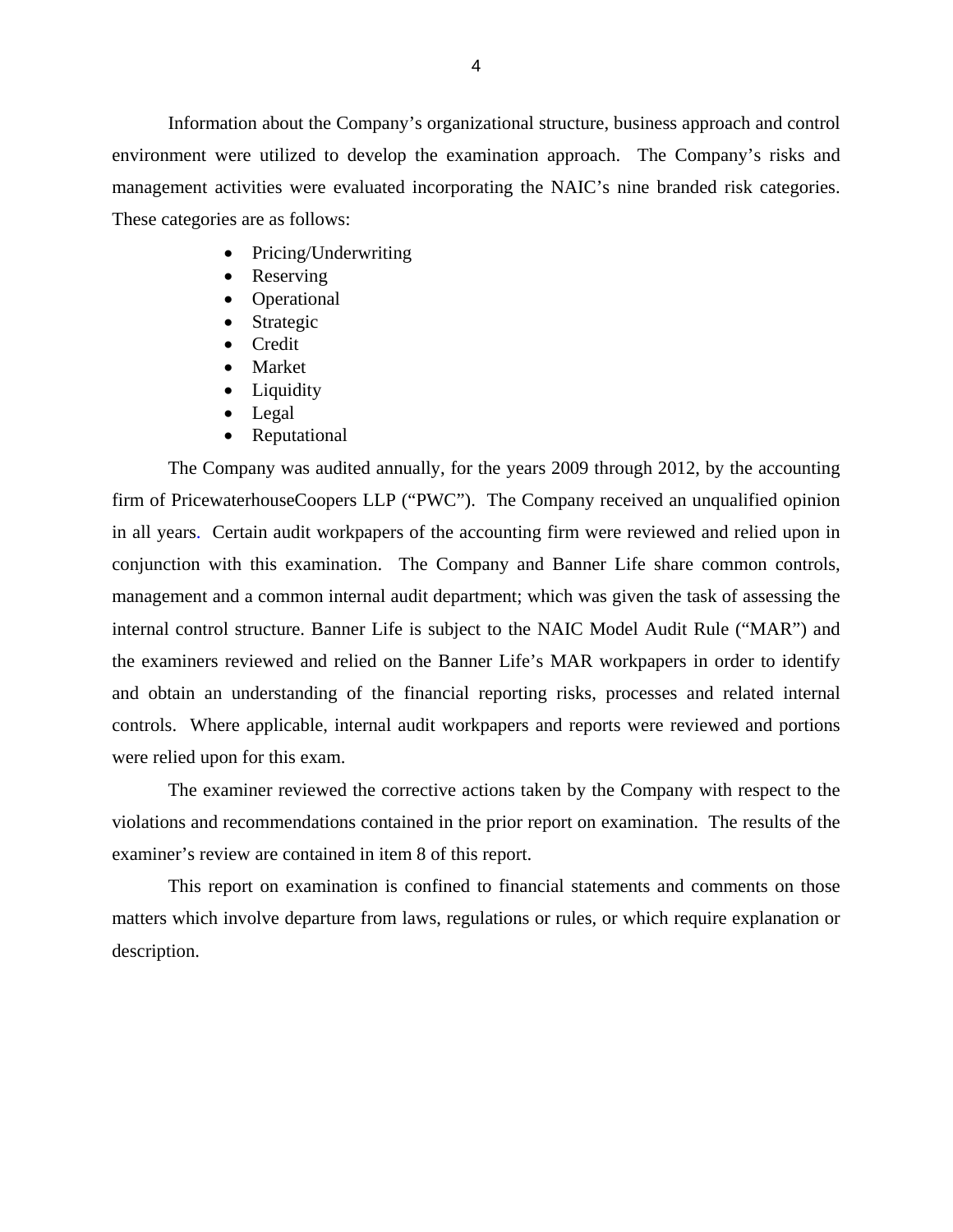Information about the Company's organizational structure, business approach and control environment were utilized to develop the examination approach. The Company's risks and management activities were evaluated incorporating the NAIC's nine branded risk categories. These categories are as follows:

- Pricing/Underwriting
- Reserving
- Operational
- Strategic
- Credit
- Market
- Liquidity
- Legal
- Reputational

The Company was audited annually, for the years 2009 through 2012, by the accounting firm of PricewaterhouseCoopers LLP ("PWC"). The Company received an unqualified opinion in all years. Certain audit workpapers of the accounting firm were reviewed and relied upon in conjunction with this examination. The Company and Banner Life share common controls, management and a common internal audit department; which was given the task of assessing the internal control structure. Banner Life is subject to the NAIC Model Audit Rule ("MAR") and the examiners reviewed and relied on the Banner Life's MAR workpapers in order to identify and obtain an understanding of the financial reporting risks, processes and related internal controls. Where applicable, internal audit workpapers and reports were reviewed and portions were relied upon for this exam.

The examiner reviewed the corrective actions taken by the Company with respect to the violations and recommendations contained in the prior report on examination. The results of the examiner's review are contained in item 8 of this report.

This report on examination is confined to financial statements and comments on those matters which involve departure from laws, regulations or rules, or which require explanation or description.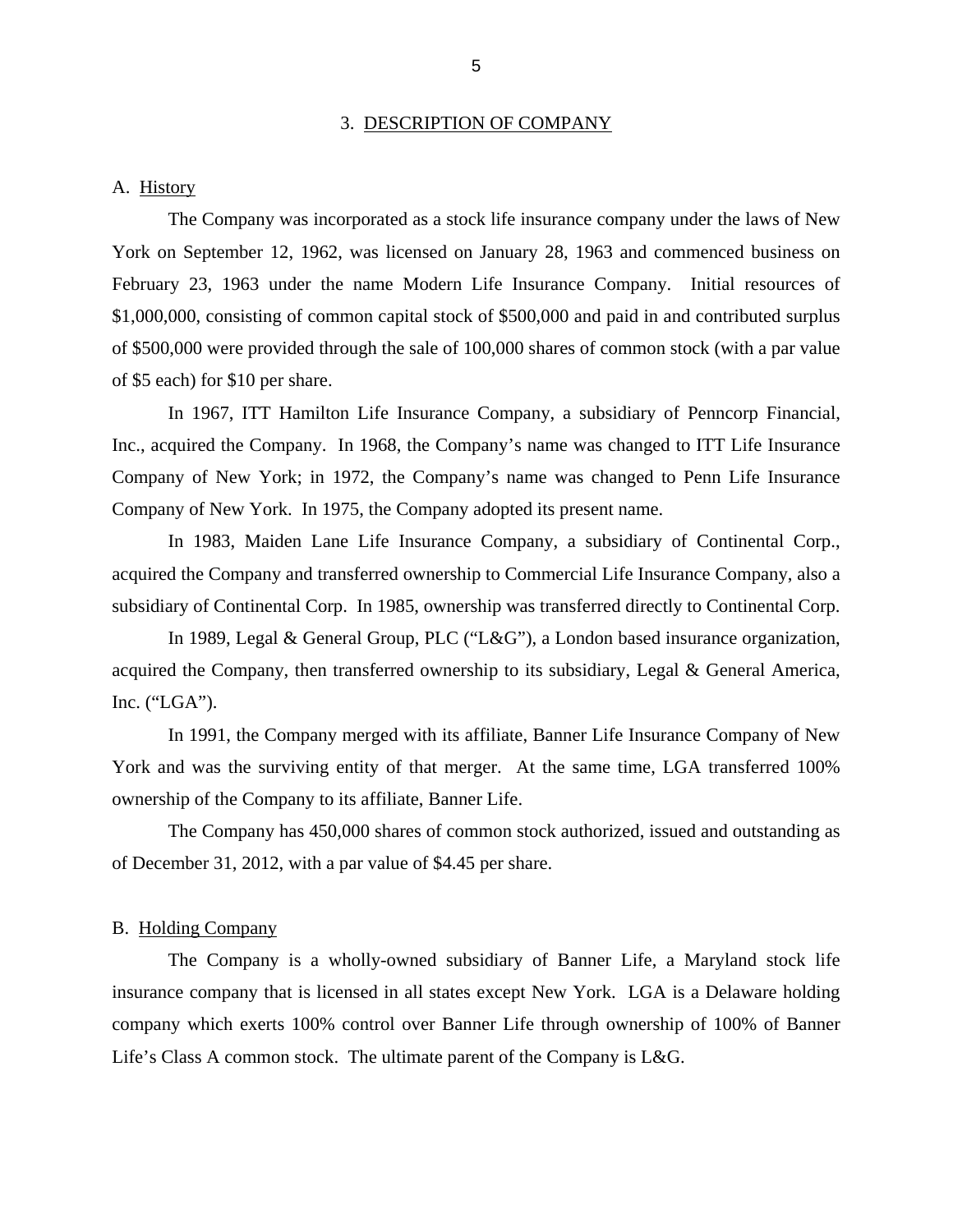#### 3. DESCRIPTION OF COMPANY

#### <span id="page-7-0"></span>A. History

The Company was incorporated as a stock life insurance company under the laws of New York on September 12, 1962, was licensed on January 28, 1963 and commenced business on February 23, 1963 under the name Modern Life Insurance Company. Initial resources of \$1,000,000, consisting of common capital stock of \$500,000 and paid in and contributed surplus of \$500,000 were provided through the sale of 100,000 shares of common stock (with a par value of \$5 each) for \$10 per share.

In 1967, ITT Hamilton Life Insurance Company, a subsidiary of Penncorp Financial, Inc., acquired the Company. In 1968, the Company's name was changed to ITT Life Insurance Company of New York; in 1972, the Company's name was changed to Penn Life Insurance Company of New York. In 1975, the Company adopted its present name.

In 1983, Maiden Lane Life Insurance Company, a subsidiary of Continental Corp., acquired the Company and transferred ownership to Commercial Life Insurance Company, also a subsidiary of Continental Corp. In 1985, ownership was transferred directly to Continental Corp.

In 1989, Legal & General Group, PLC ("L&G"), a London based insurance organization, acquired the Company, then transferred ownership to its subsidiary, Legal & General America, Inc. ("LGA").

In 1991, the Company merged with its affiliate, Banner Life Insurance Company of New York and was the surviving entity of that merger. At the same time, LGA transferred 100% ownership of the Company to its affiliate, Banner Life.

The Company has 450,000 shares of common stock authorized, issued and outstanding as of December 31, 2012, with a par value of \$4.45 per share.

#### B. Holding Company

The Company is a wholly-owned subsidiary of Banner Life, a Maryland stock life insurance company that is licensed in all states except New York. LGA is a Delaware holding company which exerts 100% control over Banner Life through ownership of 100% of Banner Life's Class A common stock. The ultimate parent of the Company is L&G.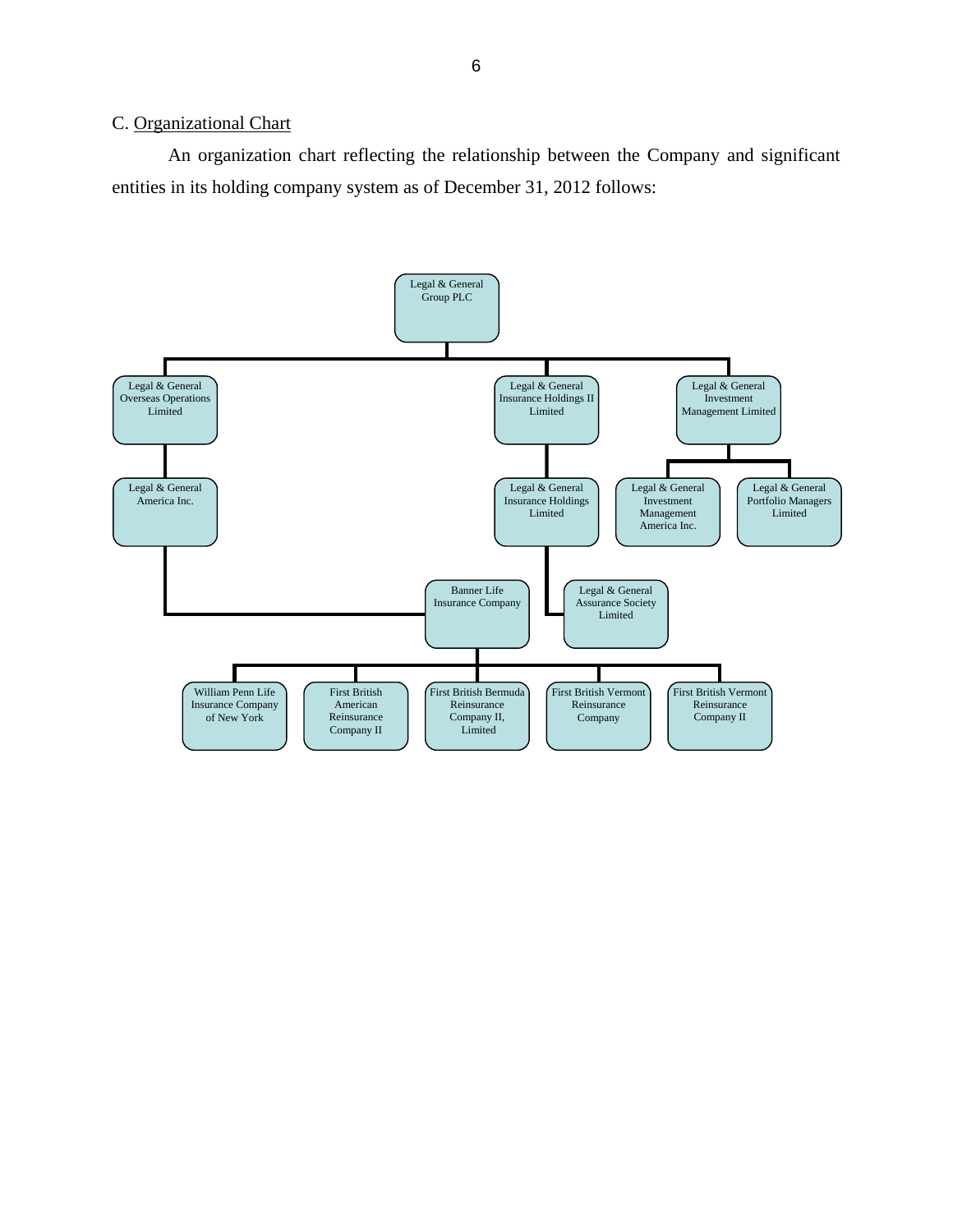# <span id="page-8-0"></span>C. Organizational Chart

An organization chart reflecting the relationship between the Company and significant entities in its holding company system as of December 31, 2012 follows:

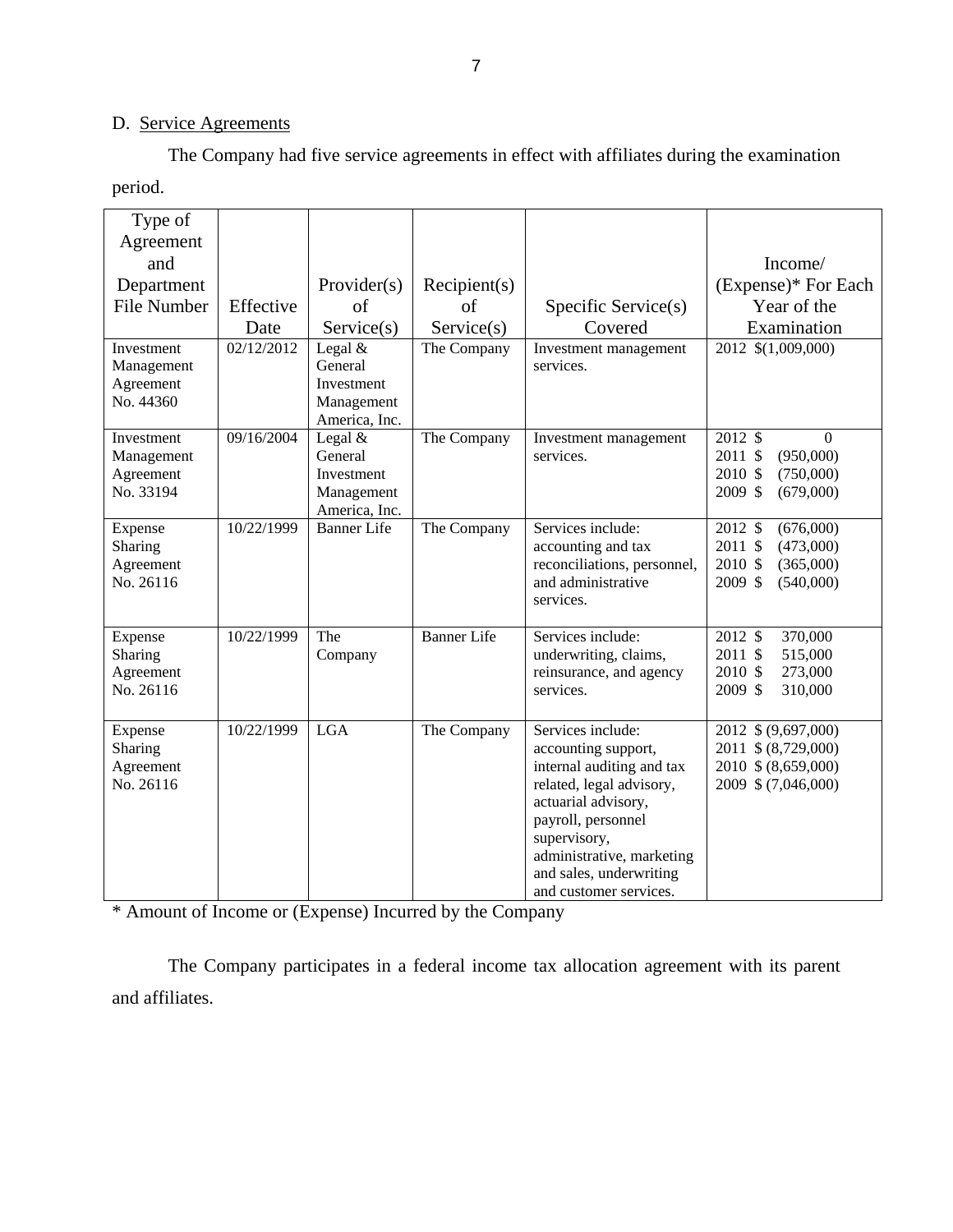# D. Service Agreements

The Company had five service agreements in effect with affiliates during the examination period.

| Type of                |                         |                             |                    |                                                   |                                              |
|------------------------|-------------------------|-----------------------------|--------------------|---------------------------------------------------|----------------------------------------------|
| Agreement              |                         |                             |                    |                                                   |                                              |
| and                    |                         |                             |                    |                                                   | Income/                                      |
| Department             |                         | Provider(s)                 | Recipient(s)       |                                                   | (Expense)* For Each                          |
| <b>File Number</b>     | Effective               | of                          | of                 | Specific Service(s)                               | Year of the                                  |
|                        | Date                    | Service(s)                  | Service(s)         | Covered                                           | Examination                                  |
| Investment             | 02/12/2012              | Legal &                     | The Company        | Investment management                             | 2012 \$(1,009,000)                           |
| Management             |                         | General                     |                    | services.                                         |                                              |
| Agreement              |                         | Investment                  |                    |                                                   |                                              |
| No. 44360              |                         | Management<br>America, Inc. |                    |                                                   |                                              |
| Investment             | 09/16/2004              | Legal $&$                   | The Company        | Investment management                             | 2012 \$<br>$\Omega$                          |
| Management             |                         | General                     |                    | services.                                         | 2011 \$<br>(950,000)                         |
| Agreement              |                         | Investment                  |                    |                                                   | 2010 \$<br>(750,000)                         |
| No. 33194              |                         | Management                  |                    |                                                   | 2009 \$<br>(679,000)                         |
|                        |                         | America, Inc.               |                    |                                                   |                                              |
| Expense                | 10/22/1999              | <b>Banner</b> Life          | The Company        | Services include:                                 | 2012 \$<br>(676,000)                         |
| Sharing                |                         |                             |                    | accounting and tax                                | 2011 \$<br>(473,000)                         |
| Agreement<br>No. 26116 |                         |                             |                    | reconciliations, personnel,<br>and administrative | 2010 \$<br>(365,000)<br>2009 \$<br>(540,000) |
|                        |                         |                             |                    | services.                                         |                                              |
|                        |                         |                             |                    |                                                   |                                              |
| Expense                | $\overline{10}/22/1999$ | The                         | <b>Banner</b> Life | Services include:                                 | 2012 \$<br>370,000                           |
| <b>Sharing</b>         |                         | Company                     |                    | underwriting, claims,                             | 2011 \$<br>515,000                           |
| Agreement              |                         |                             |                    | reinsurance, and agency                           | 2010 \$<br>273,000                           |
| No. 26116              |                         |                             |                    | services.                                         | 2009 \$<br>310,000                           |
| Expense                | 10/22/1999              | <b>LGA</b>                  | The Company        | Services include:                                 | 2012 \$ (9,697,000)                          |
| Sharing                |                         |                             |                    | accounting support,                               | 2011 \$ (8,729,000)                          |
| Agreement              |                         |                             |                    | internal auditing and tax                         | 2010 \$ (8,659,000)                          |
| No. 26116              |                         |                             |                    | related, legal advisory,                          | 2009 \$ (7,046,000)                          |
|                        |                         |                             |                    | actuarial advisory,                               |                                              |
|                        |                         |                             |                    | payroll, personnel                                |                                              |
|                        |                         |                             |                    | supervisory,                                      |                                              |
|                        |                         |                             |                    | administrative, marketing                         |                                              |
|                        |                         |                             |                    | and sales, underwriting                           |                                              |
|                        |                         |                             |                    | and customer services.                            |                                              |

\* Amount of Income or (Expense) Incurred by the Company

The Company participates in a federal income tax allocation agreement with its parent and affiliates.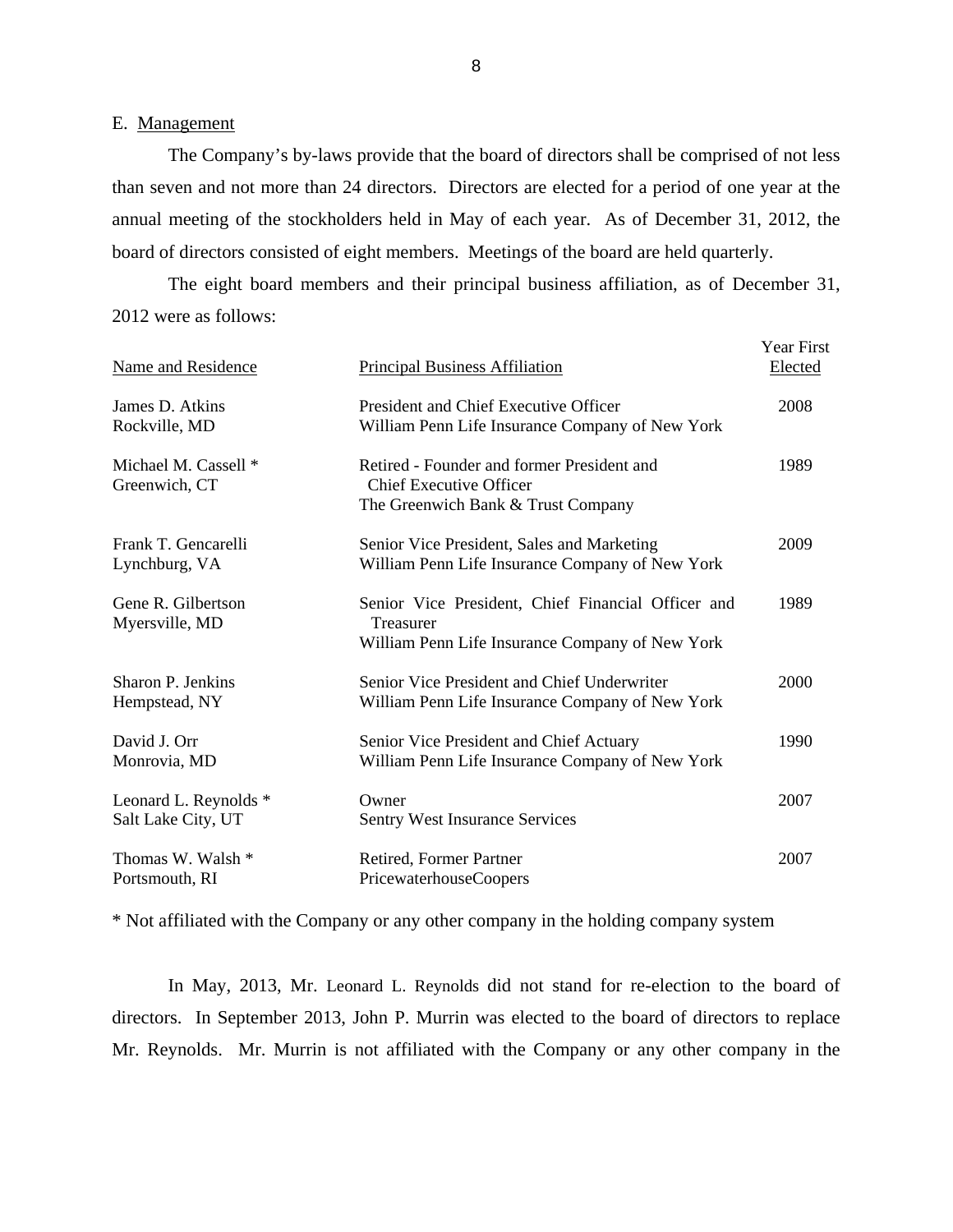#### E. Management

The Company's by-laws provide that the board of directors shall be comprised of not less than seven and not more than 24 directors. Directors are elected for a period of one year at the annual meeting of the stockholders held in May of each year. As of December 31, 2012, the board of directors consisted of eight members. Meetings of the board are held quarterly.

The eight board members and their principal business affiliation, as of December 31, 2012 were as follows:

| Name and Residence                          | <b>Principal Business Affiliation</b>                                                                              | <b>Year First</b><br>Elected |
|---------------------------------------------|--------------------------------------------------------------------------------------------------------------------|------------------------------|
| James D. Atkins<br>Rockville, MD            | President and Chief Executive Officer<br>William Penn Life Insurance Company of New York                           | 2008                         |
| Michael M. Cassell *<br>Greenwich, CT       | Retired - Founder and former President and<br><b>Chief Executive Officer</b><br>The Greenwich Bank & Trust Company | 1989                         |
| Frank T. Gencarelli<br>Lynchburg, VA        | Senior Vice President, Sales and Marketing<br>William Penn Life Insurance Company of New York                      | 2009                         |
| Gene R. Gilbertson<br>Myersville, MD        | Senior Vice President, Chief Financial Officer and<br>Treasurer<br>William Penn Life Insurance Company of New York | 1989                         |
| Sharon P. Jenkins<br>Hempstead, NY          | Senior Vice President and Chief Underwriter<br>William Penn Life Insurance Company of New York                     | 2000                         |
| David J. Orr<br>Monrovia, MD                | Senior Vice President and Chief Actuary<br>William Penn Life Insurance Company of New York                         | 1990                         |
| Leonard L. Reynolds *<br>Salt Lake City, UT | Owner<br><b>Sentry West Insurance Services</b>                                                                     | 2007                         |
| Thomas W. Walsh *<br>Portsmouth, RI         | Retired, Former Partner<br>PricewaterhouseCoopers                                                                  | 2007                         |

\* Not affiliated with the Company or any other company in the holding company system

In May, 2013, Mr. Leonard L. Reynolds did not stand for re-election to the board of directors. In September 2013, John P. Murrin was elected to the board of directors to replace Mr. Reynolds. Mr. Murrin is not affiliated with the Company or any other company in the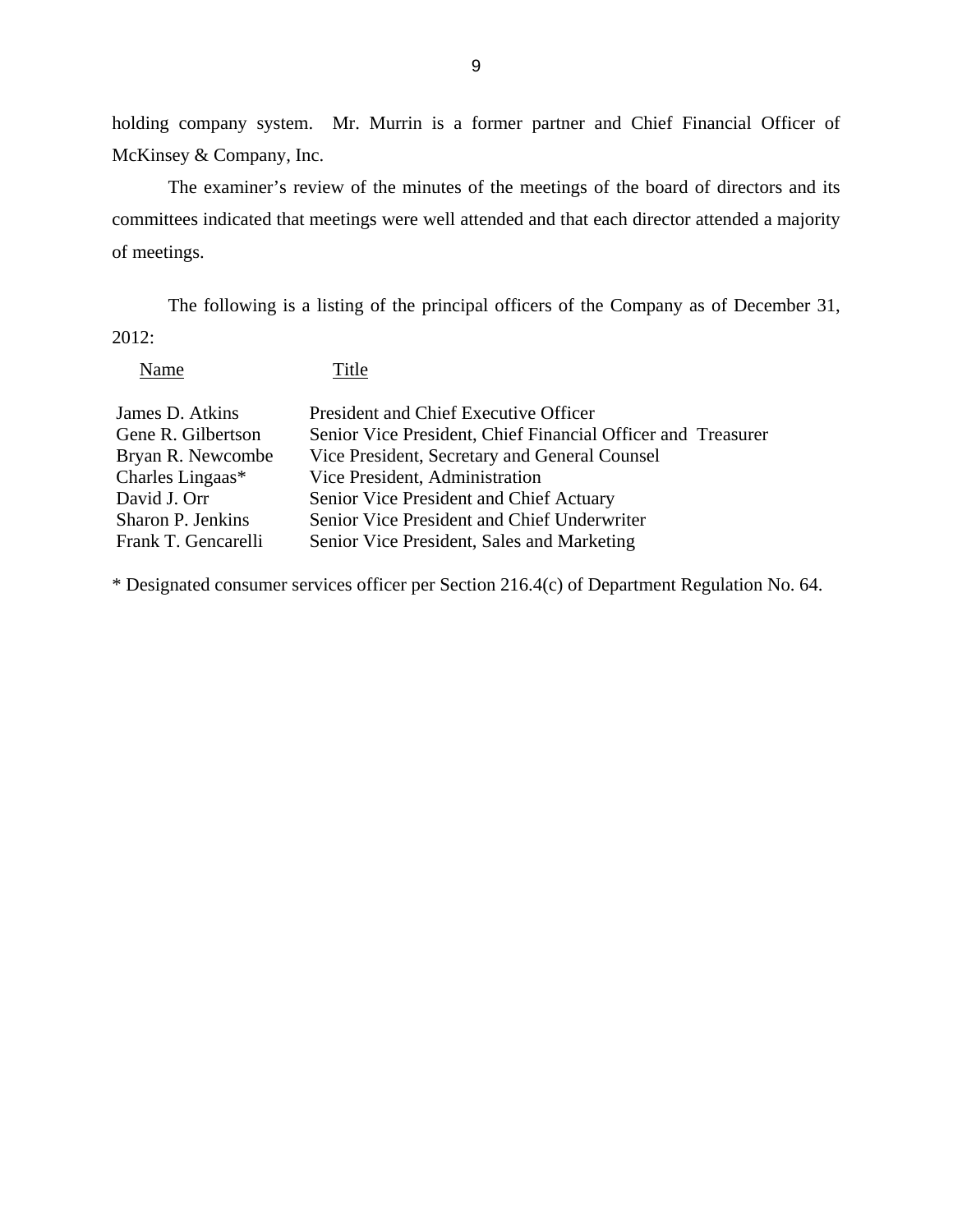holding company system. Mr. Murrin is a former partner and Chief Financial Officer of McKinsey & Company, Inc.

The examiner's review of the minutes of the meetings of the board of directors and its committees indicated that meetings were well attended and that each director attended a majority of meetings.

The following is a listing of the principal officers of the Company as of December 31, 2012:

Name Title

| James D. Atkins     | President and Chief Executive Officer                        |
|---------------------|--------------------------------------------------------------|
| Gene R. Gilbertson  | Senior Vice President, Chief Financial Officer and Treasurer |
| Bryan R. Newcombe   | Vice President, Secretary and General Counsel                |
| Charles Lingaas*    | Vice President, Administration                               |
| David J. Orr        | Senior Vice President and Chief Actuary                      |
| Sharon P. Jenkins   | Senior Vice President and Chief Underwriter                  |
| Frank T. Gencarelli | Senior Vice President, Sales and Marketing                   |

\* Designated consumer services officer per Section 216.4(c) of Department Regulation No. 64.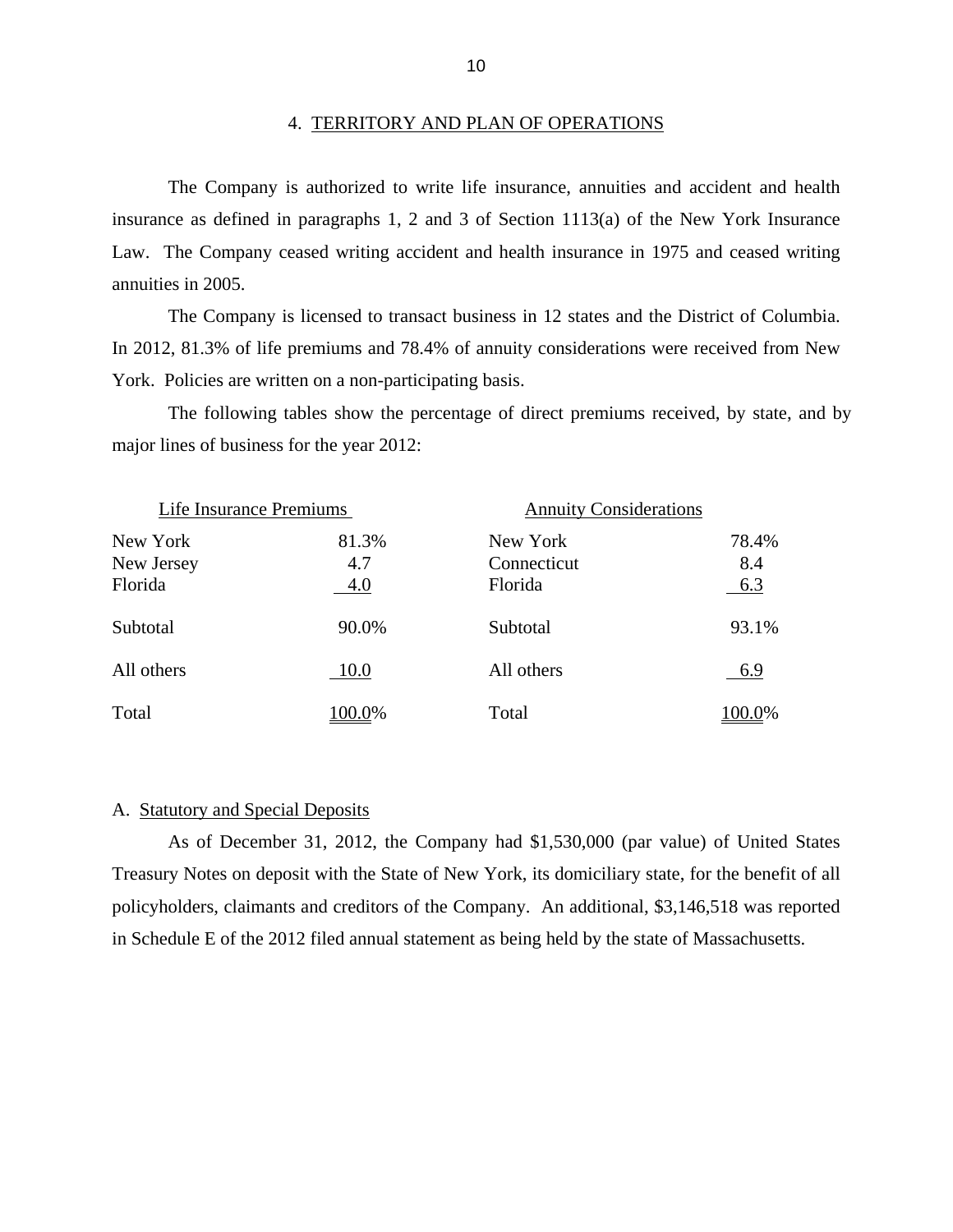The Company is authorized to write life insurance, annuities and accident and health insurance as defined in paragraphs 1, 2 and 3 of Section 1113(a) of the New York Insurance Law. The Company ceased writing accident and health insurance in 1975 and ceased writing annuities in 2005.

The Company is licensed to transact business in 12 states and the District of Columbia. In 2012, 81.3% of life premiums and 78.4% of annuity considerations were received from New York. Policies are written on a non-participating basis.

The following tables show the percentage of direct premiums received, by state, and by major lines of business for the year 2012:

| Life Insurance Premiums           |                     | <b>Annuity Considerations</b>      |                     |  |  |
|-----------------------------------|---------------------|------------------------------------|---------------------|--|--|
| New York<br>New Jersey<br>Florida | 81.3%<br>4.7<br>4.0 | New York<br>Connecticut<br>Florida | 78.4%<br>8.4<br>6.3 |  |  |
| Subtotal                          | 90.0%               | Subtotal                           | 93.1%               |  |  |
| All others                        | 10.0                | All others                         | 6.9                 |  |  |
| Total                             | 100.0%              | Total                              | 100.0%              |  |  |

#### A. Statutory and Special Deposits

As of December 31, 2012, the Company had \$1,530,000 (par value) of United States Treasury Notes on deposit with the State of New York, its domiciliary state, for the benefit of all policyholders, claimants and creditors of the Company. An additional, \$3,146,518 was reported in Schedule E of the 2012 filed annual statement as being held by the state of Massachusetts.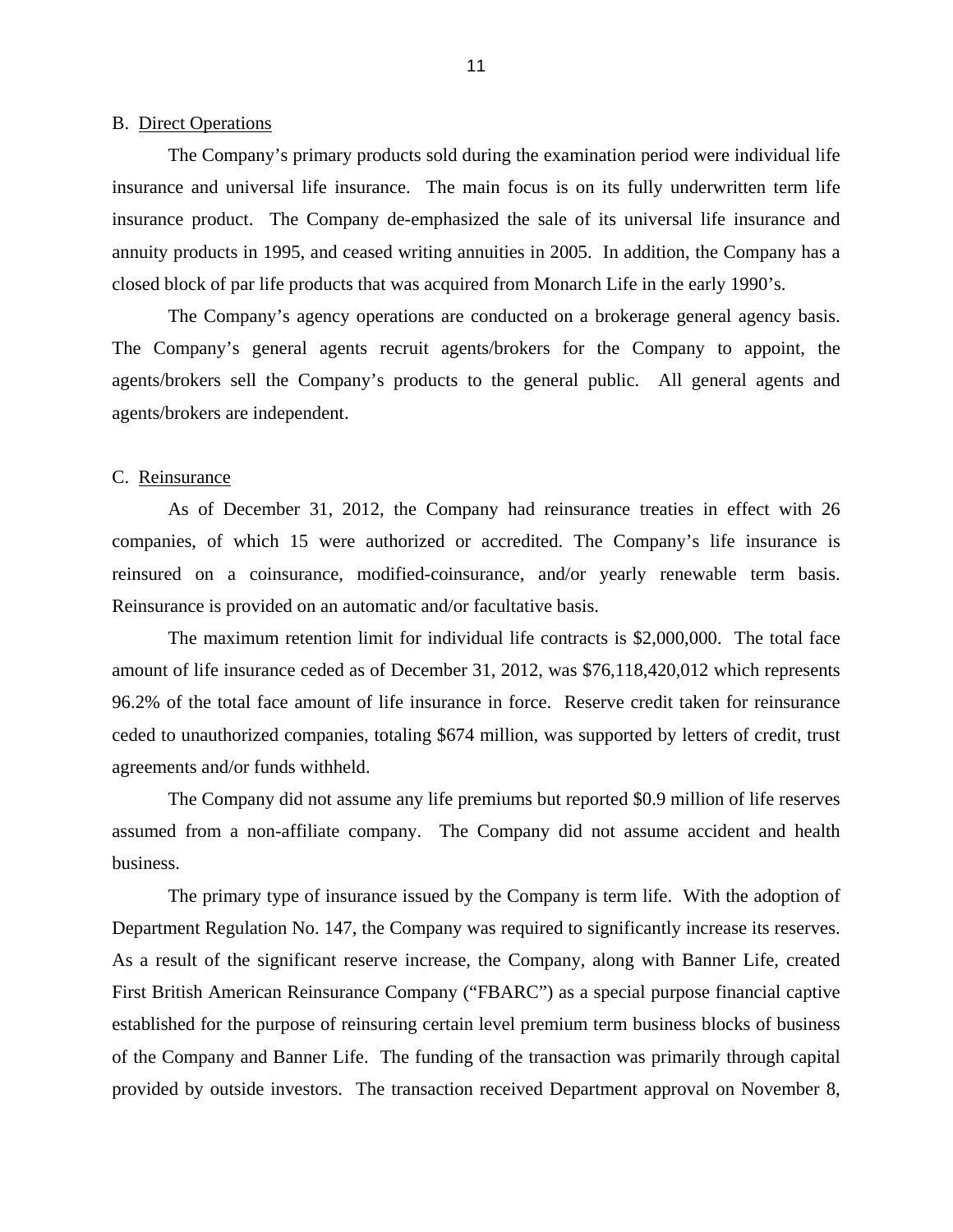#### <span id="page-13-0"></span>B. Direct Operations

The Company's primary products sold during the examination period were individual life insurance and universal life insurance. The main focus is on its fully underwritten term life insurance product. The Company de-emphasized the sale of its universal life insurance and annuity products in 1995, and ceased writing annuities in 2005. In addition, the Company has a closed block of par life products that was acquired from Monarch Life in the early 1990's.

The Company's agency operations are conducted on a brokerage general agency basis. The Company's general agents recruit agents/brokers for the Company to appoint, the agents/brokers sell the Company's products to the general public. All general agents and agents/brokers are independent.

#### C. Reinsurance

As of December 31, 2012, the Company had reinsurance treaties in effect with 26 companies, of which 15 were authorized or accredited. The Company's life insurance is reinsured on a coinsurance, modified-coinsurance, and/or yearly renewable term basis. Reinsurance is provided on an automatic and/or facultative basis.

The maximum retention limit for individual life contracts is \$2,000,000. The total face amount of life insurance ceded as of December 31, 2012, was \$76,118,420,012 which represents 96.2% of the total face amount of life insurance in force. Reserve credit taken for reinsurance ceded to unauthorized companies, totaling \$674 million, was supported by letters of credit, trust agreements and/or funds withheld.

 assumed from a non-affiliate company. The Company did not assume accident and health business. The Company did not assume any life premiums but reported \$0.9 million of life reserves

The primary type of insurance issued by the Company is term life. With the adoption of Department Regulation No. 147, the Company was required to significantly increase its reserves. As a result of the significant reserve increase, the Company, along with Banner Life, created First British American Reinsurance Company ("FBARC") as a special purpose financial captive established for the purpose of reinsuring certain level premium term business blocks of business of the Company and Banner Life. The funding of the transaction was primarily through capital provided by outside investors. The transaction received Department approval on November 8,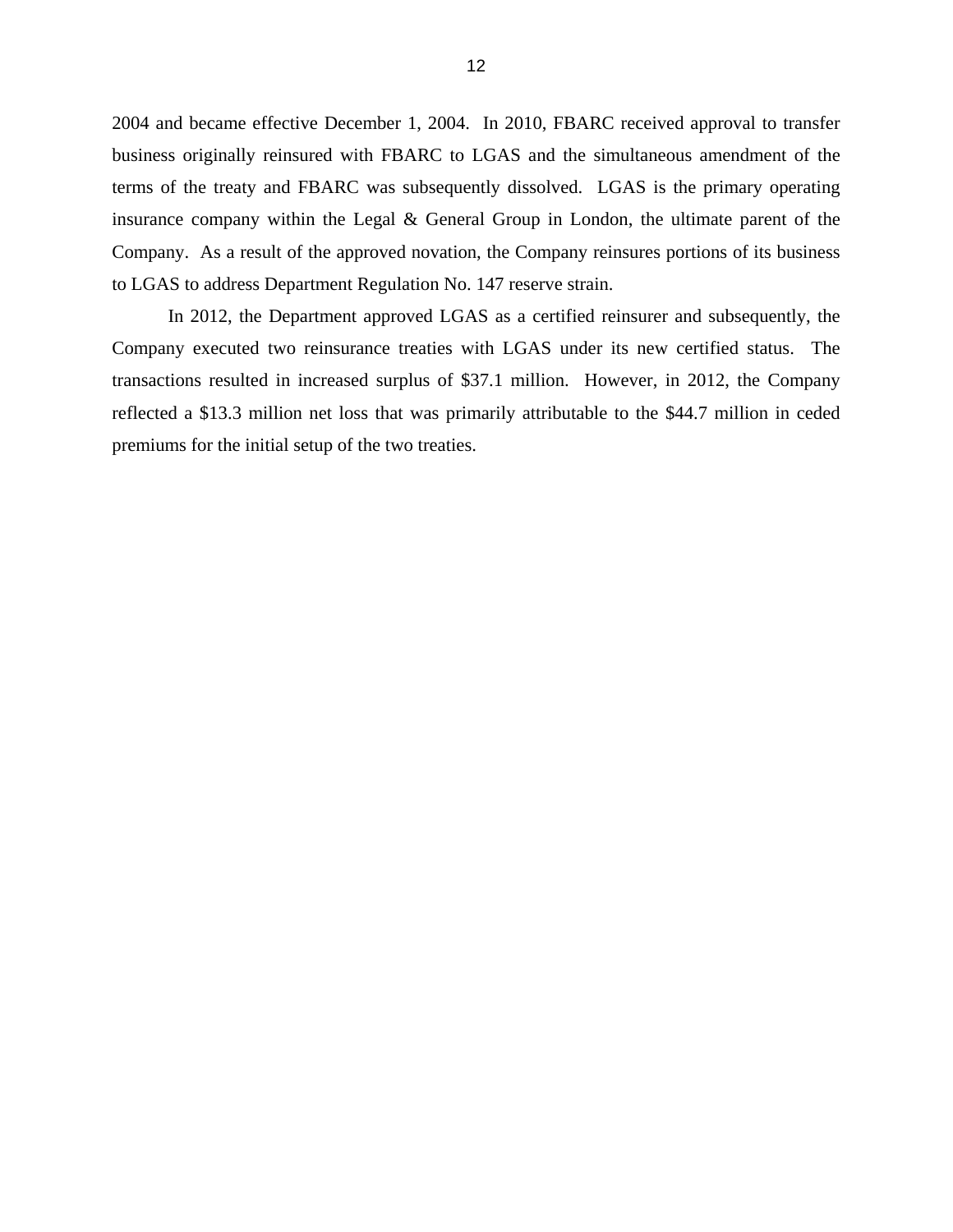2004 and became effective December 1, 2004. In 2010, FBARC received approval to transfer business originally reinsured with FBARC to LGAS and the simultaneous amendment of the terms of the treaty and FBARC was subsequently dissolved. LGAS is the primary operating insurance company within the Legal & General Group in London, the ultimate parent of the Company. As a result of the approved novation, the Company reinsures portions of its business to LGAS to address Department Regulation No. 147 reserve strain.

In 2012, the Department approved LGAS as a certified reinsurer and subsequently, the Company executed two reinsurance treaties with LGAS under its new certified status. The transactions resulted in increased surplus of \$37.1 million. However, in 2012, the Company reflected a \$13.3 million net loss that was primarily attributable to the \$44.7 million in ceded premiums for the initial setup of the two treaties.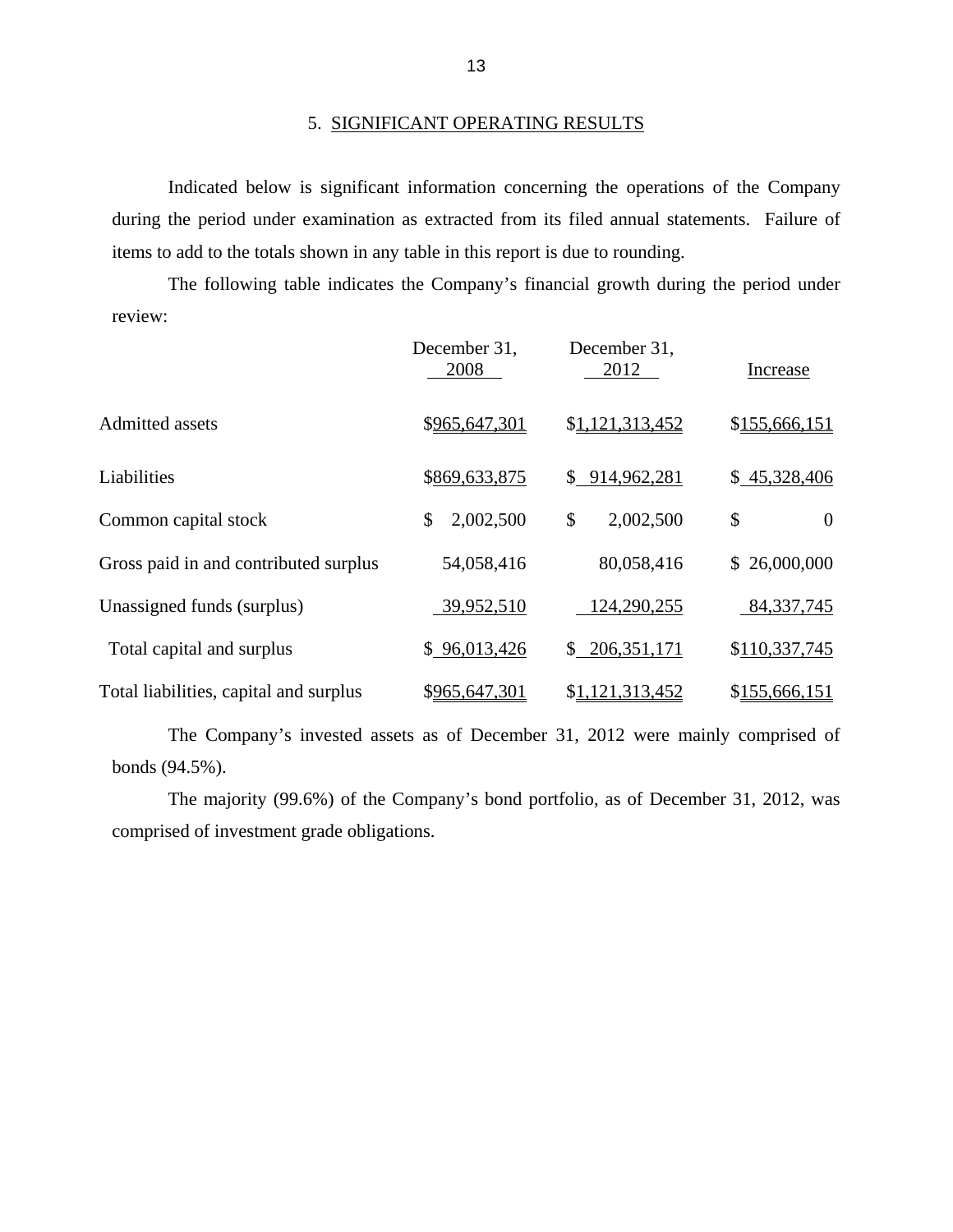Indicated below is significant information concerning the operations of the Company during the period under examination as extracted from its filed annual statements. Failure of items to add to the totals shown in any table in this report is due to rounding.

The following table indicates the Company's financial growth during the period under review:

|                                        | December 31,<br>2008 | December 31,<br>2012 | Increase           |
|----------------------------------------|----------------------|----------------------|--------------------|
| <b>Admitted assets</b>                 | \$965,647,301        | \$1,121,313,452      | \$155,666,151      |
| Liabilities                            | \$869,633,875        | \$914,962,281        | \$45,328,406       |
| Common capital stock                   | 2,002,500<br>\$      | \$<br>2,002,500      | \$<br>$\mathbf{0}$ |
| Gross paid in and contributed surplus  | 54,058,416           | 80,058,416           | \$26,000,000       |
| Unassigned funds (surplus)             | 39,952,510           | 124,290,255          | 84,337,745         |
| Total capital and surplus              | \$96,013,426         | \$206,351,171        | \$110,337,745      |
| Total liabilities, capital and surplus | \$965,647,301        | \$1,121,313,452      | \$155,666,151      |

The Company's invested assets as of December 31, 2012 were mainly comprised of bonds (94.5%).

The majority (99.6%) of the Company's bond portfolio, as of December 31, 2012, was comprised of investment grade obligations.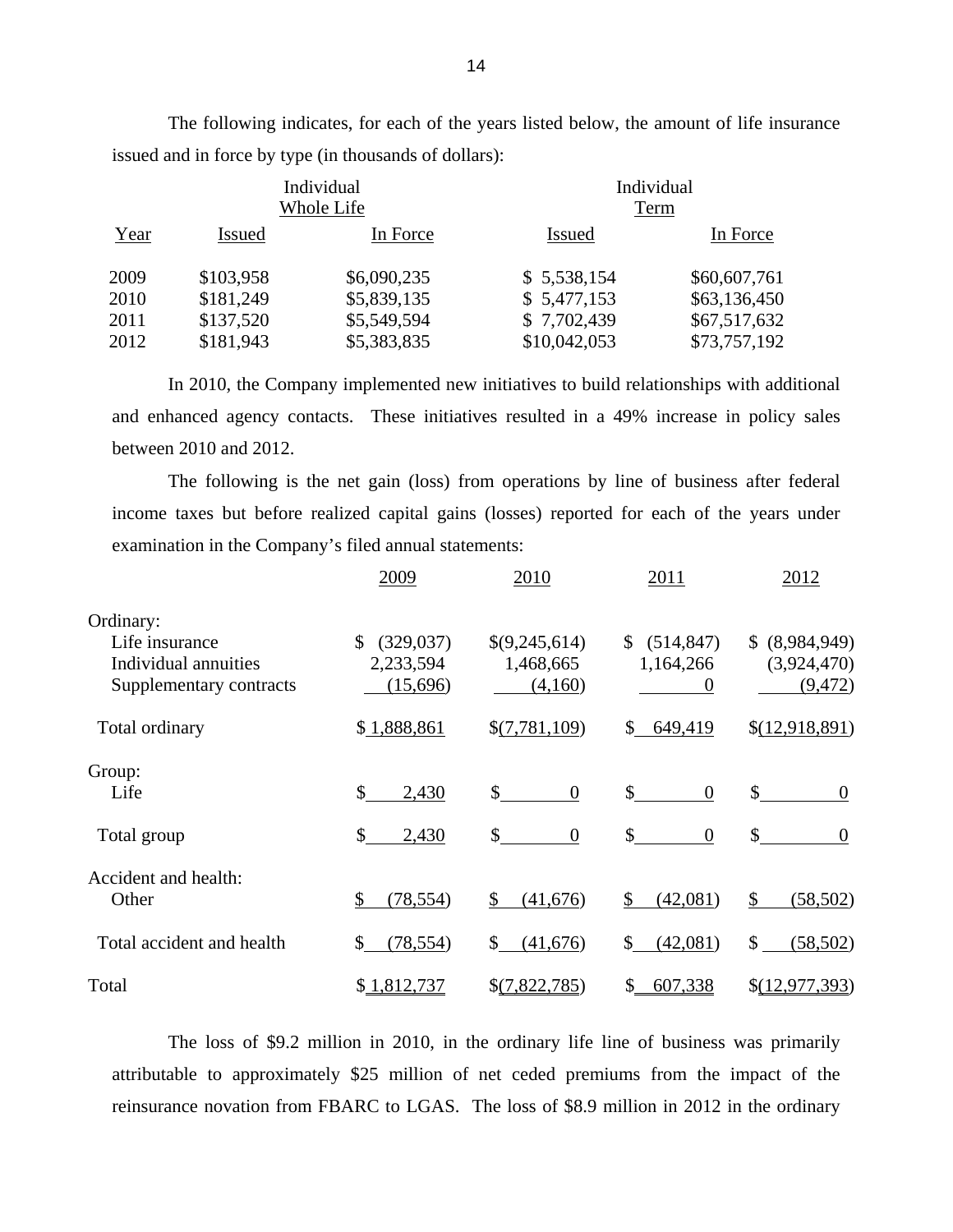|      |               | Individual<br>Whole Life | Individual<br>Term |              |  |
|------|---------------|--------------------------|--------------------|--------------|--|
| Year | <b>Issued</b> | In Force                 | <b>Issued</b>      | In Force     |  |
| 2009 | \$103,958     | \$6,090,235              | \$5,538,154        | \$60,607,761 |  |
| 2010 | \$181,249     | \$5,839,135              | \$5,477,153        | \$63,136,450 |  |
| 2011 | \$137,520     | \$5,549,594              | \$7,702,439        | \$67,517,632 |  |
| 2012 | \$181,943     | \$5,383,835              | \$10,042,053       | \$73,757,192 |  |

The following indicates, for each of the years listed below, the amount of life insurance issued and in force by type (in thousands of dollars):

In 2010, the Company implemented new initiatives to build relationships with additional and enhanced agency contacts. These initiatives resulted in a 49% increase in policy sales between 2010 and 2012.

The following is the net gain (loss) from operations by line of business after federal income taxes but before realized capital gains (losses) reported for each of the years under examination in the Company's filed annual statements:

|                           | 2009             | 2010                             | 2011                           | 2012            |
|---------------------------|------------------|----------------------------------|--------------------------------|-----------------|
| Ordinary:                 |                  |                                  |                                |                 |
| Life insurance            | \$<br>(329, 037) | \$(9,245,614)                    | (514, 847)<br>\$               | \$ (8,984,949)  |
| Individual annuities      | 2,233,594        | 1,468,665                        | 1,164,266                      | (3,924,470)     |
| Supplementary contracts   | (15,696)         | (4,160)                          | $\theta$                       | (9, 472)        |
| Total ordinary            | \$1,888,861      | \$(7,781,109)                    | \$<br>649,419                  | \$(12,918,891)  |
| Group:                    |                  |                                  |                                |                 |
| Life                      | \$<br>2,430      | \$<br>$\theta$                   | $\mathbb{S}$<br>$\overline{0}$ | \$<br>$\theta$  |
| Total group               | \$<br>2,430      | $\mathbb{S}$<br>$\boldsymbol{0}$ | \$<br>$\boldsymbol{0}$         | \$<br>$\theta$  |
| Accident and health:      |                  |                                  |                                |                 |
| Other                     | (78, 554)<br>\$  | (41, 676)<br>\$                  | \$<br>(42,081)                 | \$<br>(58, 502) |
| Total accident and health | \$<br>(78, 554)  | \$<br>(41, 676)                  | \$<br>(42,081)                 | \$<br>(58, 502) |
| Total                     | \$1,812,737      | $\S(7,822,785)$                  | \$<br>607,338                  | \$(12,977,393)  |

The loss of \$9.2 million in 2010, in the ordinary life line of business was primarily attributable to approximately \$25 million of net ceded premiums from the impact of the reinsurance novation from FBARC to LGAS. The loss of \$8.9 million in 2012 in the ordinary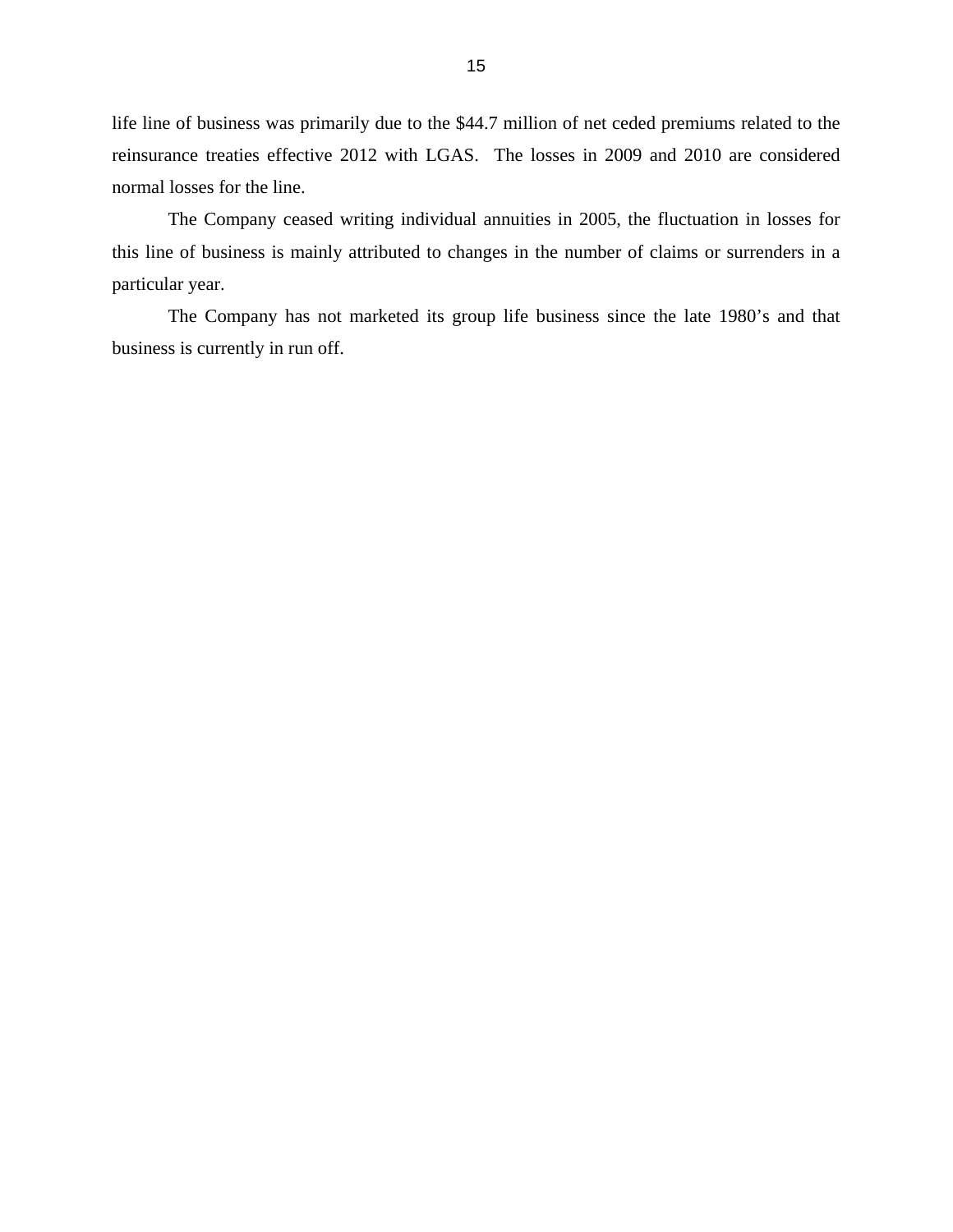life line of business was primarily due to the \$44.7 million of net ceded premiums related to the reinsurance treaties effective 2012 with LGAS. The losses in 2009 and 2010 are considered normal losses for the line.

The Company ceased writing individual annuities in 2005, the fluctuation in losses for this line of business is mainly attributed to changes in the number of claims or surrenders in a particular year.

The Company has not marketed its group life business since the late 1980's and that business is currently in run off.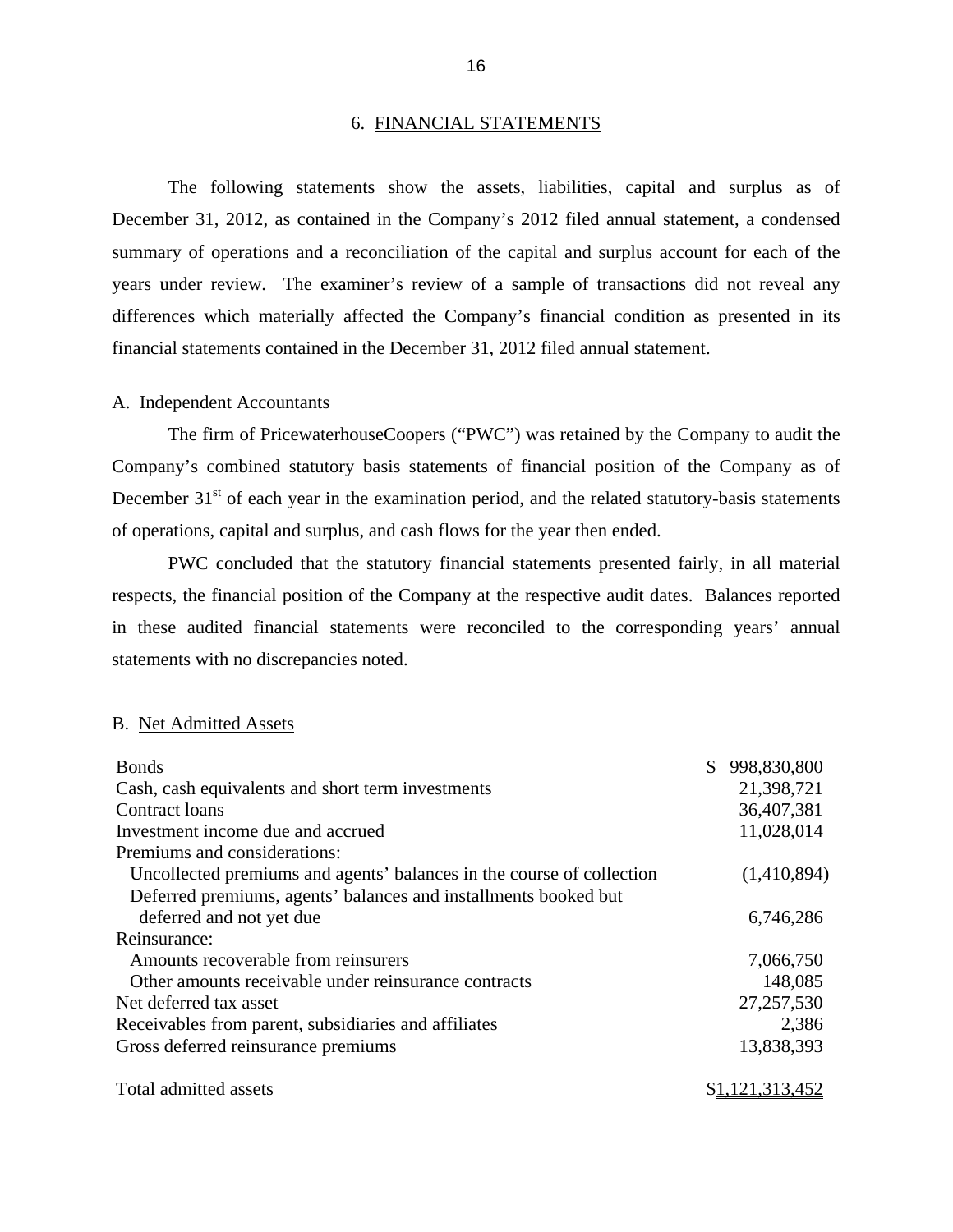#### 6. FINANCIAL STATEMENTS

The following statements show the assets, liabilities, capital and surplus as of December 31, 2012, as contained in the Company's 2012 filed annual statement, a condensed summary of operations and a reconciliation of the capital and surplus account for each of the years under review. The examiner's review of a sample of transactions did not reveal any differences which materially affected the Company's financial condition as presented in its financial statements contained in the December 31, 2012 filed annual statement.

#### A. Independent Accountants

The firm of PricewaterhouseCoopers ("PWC") was retained by the Company to audit the Company's combined statutory basis statements of financial position of the Company as of December  $31<sup>st</sup>$  of each year in the examination period, and the related statutory-basis statements of operations, capital and surplus, and cash flows for the year then ended.

PWC concluded that the statutory financial statements presented fairly, in all material respects, the financial position of the Company at the respective audit dates. Balances reported in these audited financial statements were reconciled to the corresponding years' annual statements with no discrepancies noted.

#### B. Net Admitted Assets

| <b>Bonds</b>                                                          | \$<br>998,830,800 |
|-----------------------------------------------------------------------|-------------------|
| Cash, cash equivalents and short term investments                     | 21,398,721        |
| Contract loans                                                        | 36,407,381        |
| Investment income due and accrued                                     | 11,028,014        |
| Premiums and considerations:                                          |                   |
| Uncollected premiums and agents' balances in the course of collection | (1,410,894)       |
| Deferred premiums, agents' balances and installments booked but       |                   |
| deferred and not yet due                                              | 6,746,286         |
| Reinsurance:                                                          |                   |
| Amounts recoverable from reinsurers                                   | 7,066,750         |
| Other amounts receivable under reinsurance contracts                  | 148,085           |
| Net deferred tax asset                                                | 27, 257, 530      |
| Receivables from parent, subsidiaries and affiliates                  | 2,386             |
| Gross deferred reinsurance premiums                                   | 13,838,393        |
| Total admitted assets                                                 | \$1,121,313,452   |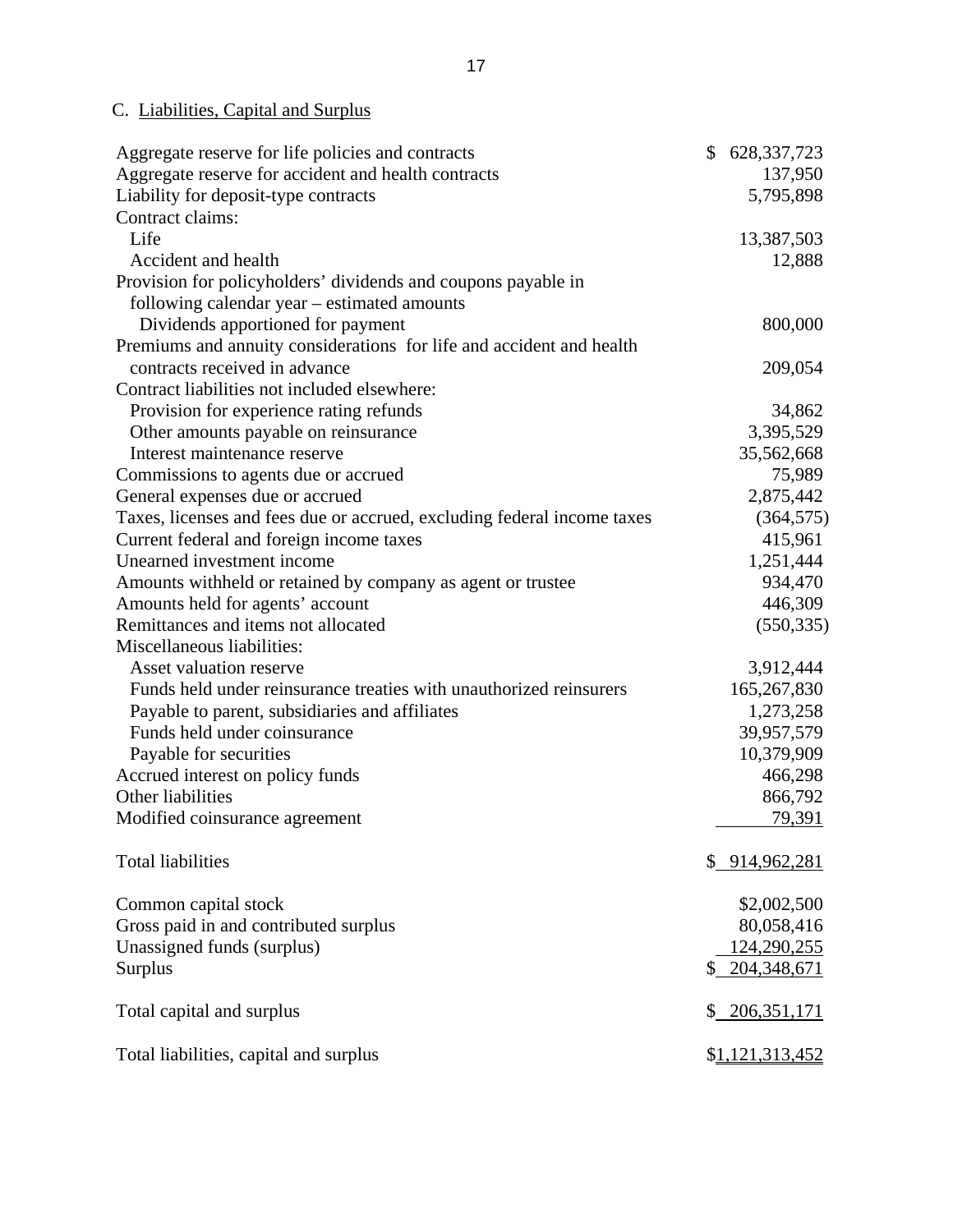# <span id="page-19-0"></span>C. Liabilities, Capital and Surplus

| Aggregate reserve for life policies and contracts                       | \$<br>628, 337, 723     |
|-------------------------------------------------------------------------|-------------------------|
| Aggregate reserve for accident and health contracts                     | 137,950                 |
| Liability for deposit-type contracts                                    | 5,795,898               |
| Contract claims:                                                        |                         |
| Life                                                                    | 13,387,503              |
| Accident and health                                                     | 12,888                  |
| Provision for policyholders' dividends and coupons payable in           |                         |
| following calendar year – estimated amounts                             |                         |
| Dividends apportioned for payment                                       | 800,000                 |
| Premiums and annuity considerations for life and accident and health    |                         |
| contracts received in advance                                           | 209,054                 |
| Contract liabilities not included elsewhere:                            |                         |
| Provision for experience rating refunds                                 | 34,862                  |
| Other amounts payable on reinsurance                                    | 3,395,529               |
| Interest maintenance reserve                                            | 35,562,668              |
| Commissions to agents due or accrued                                    | 75,989                  |
| General expenses due or accrued                                         | 2,875,442               |
| Taxes, licenses and fees due or accrued, excluding federal income taxes | (364, 575)              |
| Current federal and foreign income taxes                                | 415,961                 |
| Unearned investment income                                              | 1,251,444               |
| Amounts withheld or retained by company as agent or trustee             | 934,470                 |
| Amounts held for agents' account                                        | 446,309                 |
| Remittances and items not allocated                                     | (550, 335)              |
| Miscellaneous liabilities:                                              |                         |
| Asset valuation reserve                                                 | 3,912,444               |
| Funds held under reinsurance treaties with unauthorized reinsurers      | 165,267,830             |
| Payable to parent, subsidiaries and affiliates                          | 1,273,258               |
| Funds held under coinsurance                                            | 39,957,579              |
| Payable for securities                                                  | 10,379,909              |
| Accrued interest on policy funds                                        | 466,298                 |
| Other liabilities                                                       | 866,792                 |
| Modified coinsurance agreement                                          | 79,391                  |
| <b>Total liabilities</b>                                                | \$914,962,281           |
| Common capital stock                                                    | \$2,002,500             |
| Gross paid in and contributed surplus                                   | 80,058,416              |
| Unassigned funds (surplus)                                              | 124, 290, 255           |
| <b>Surplus</b>                                                          | \$204,348,671           |
| Total capital and surplus                                               | \$206,351,171           |
| Total liabilities, capital and surplus                                  | \$ <u>1,121,313,452</u> |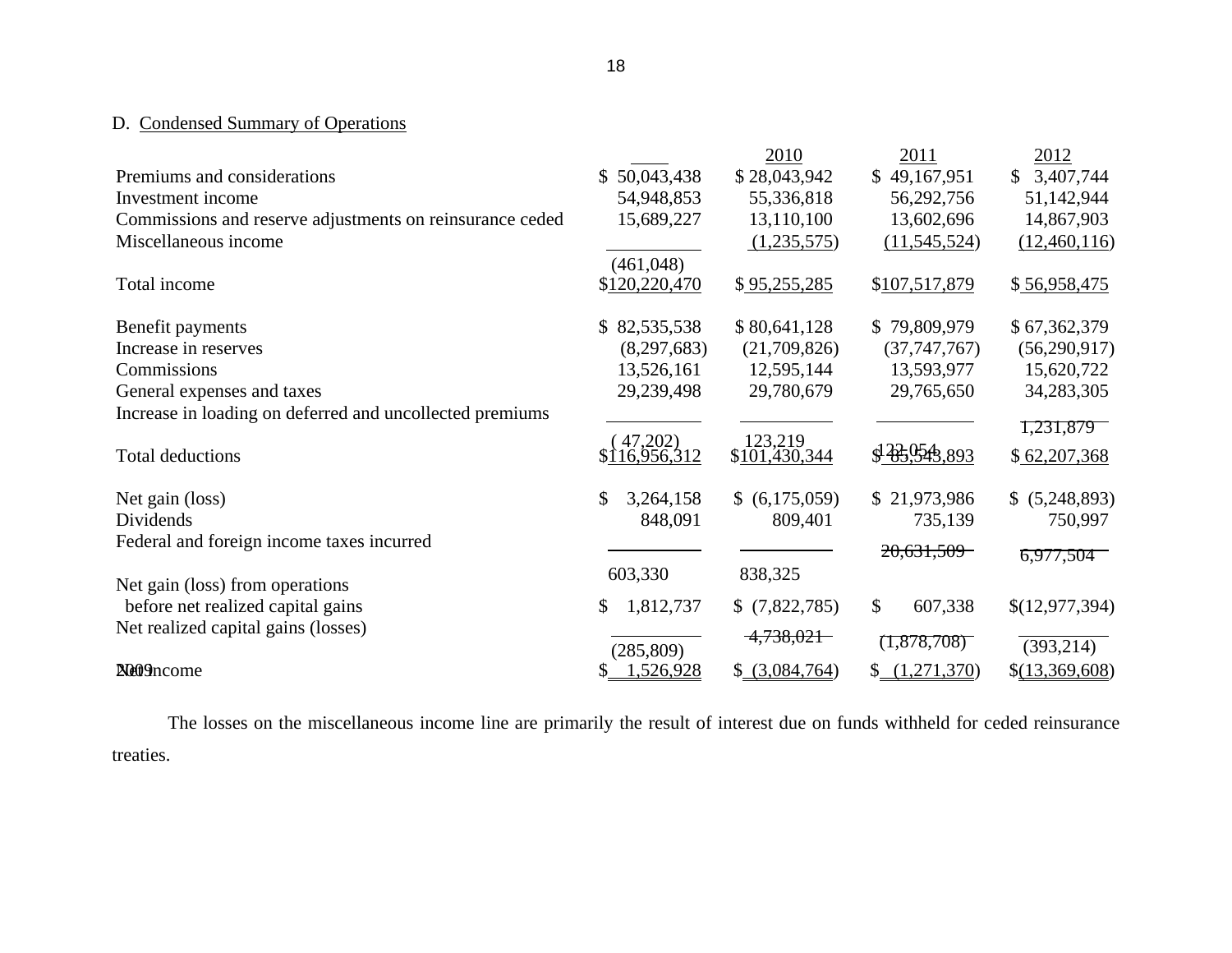# D. Condensed Summary of Operations

|                                                          |                 | 2010           | 2011                                      | 2012                        |
|----------------------------------------------------------|-----------------|----------------|-------------------------------------------|-----------------------------|
| Premiums and considerations                              | \$50,043,438    | \$28,043,942   | \$49,167,951                              | 3,407,744<br>$\mathbb{S}^-$ |
| Investment income                                        | 54,948,853      | 55,336,818     | 56,292,756                                | 51,142,944                  |
| Commissions and reserve adjustments on reinsurance ceded | 15,689,227      | 13,110,100     | 13,602,696                                | 14,867,903                  |
| Miscellaneous income                                     |                 | (1,235,575)    | (11, 545, 524)                            | (12,460,116)                |
|                                                          | (461,048)       |                |                                           |                             |
| Total income                                             | \$120,220,470   | \$95,255,285   | \$107,517,879                             | \$56,958,475                |
| Benefit payments                                         | \$82,535,538    | \$80,641,128   | \$79,809,979                              | \$67,362,379                |
| Increase in reserves                                     | (8,297,683)     | (21,709,826)   | (37, 747, 767)                            | (56,290,917)                |
| Commissions                                              | 13,526,161      | 12,595,144     | 13,593,977                                | 15,620,722                  |
| General expenses and taxes                               | 29,239,498      | 29,780,679     | 29,765,650                                | 34,283,305                  |
| Increase in loading on deferred and uncollected premiums |                 |                |                                           |                             |
|                                                          | 47,202          | 123,219        |                                           | 1,231,879                   |
| <b>Total deductions</b>                                  | \$116,956,312   | \$101,430,344  | $\frac{12}{5}\frac{254}{54}\frac{1}{393}$ | \$62,207,368                |
| Net gain (loss)                                          | \$<br>3,264,158 | \$ (6,175,059) | \$21,973,986                              | \$ (5,248,893)              |
| Dividends                                                | 848,091         | 809,401        | 735,139                                   | 750,997                     |
| Federal and foreign income taxes incurred                |                 |                | 20,631,509                                | 6,977,504                   |
| Net gain (loss) from operations                          | 603,330         | 838,325        |                                           |                             |
| before net realized capital gains                        | 1,812,737<br>\$ | \$(7,822,785)  | $\mathbb{S}$<br>607,338                   | \$(12,977,394)              |
| Net realized capital gains (losses)                      |                 |                |                                           |                             |
|                                                          | (285, 809)      | 4,738,021      | (1,878,708)                               | (393, 214)                  |
| Ne09ncome                                                | 1,526,928<br>S  | \$ (3,084,764) | (1,271,370)                               | \$(13,369,608)              |

The losses on the miscellaneous income line are primarily the result of interest due on funds withheld for ceded reinsurance treaties.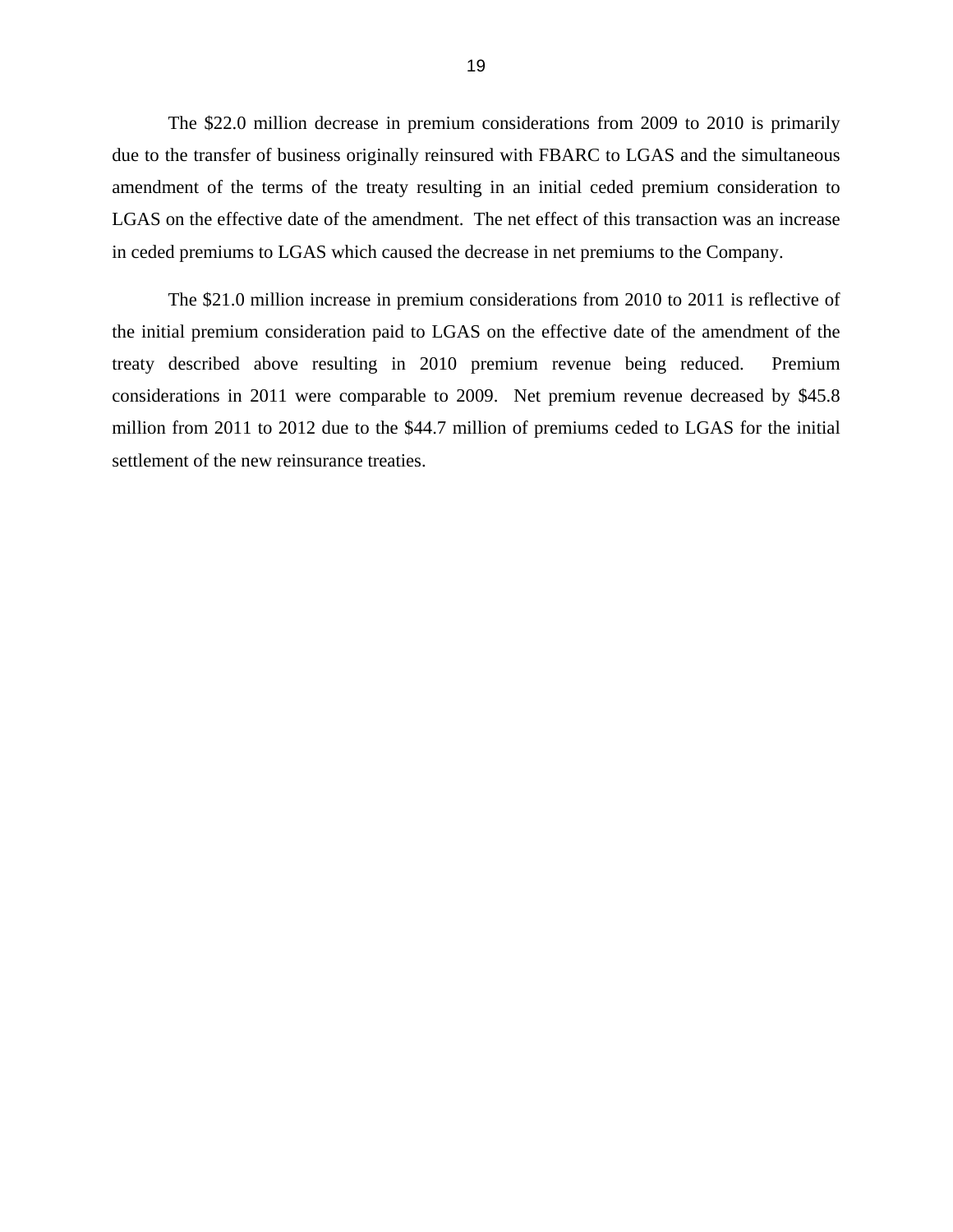The \$22.0 million decrease in premium considerations from 2009 to 2010 is primarily due to the transfer of business originally reinsured with FBARC to LGAS and the simultaneous amendment of the terms of the treaty resulting in an initial ceded premium consideration to LGAS on the effective date of the amendment. The net effect of this transaction was an increase in ceded premiums to LGAS which caused the decrease in net premiums to the Company.

The \$21.0 million increase in premium considerations from 2010 to 2011 is reflective of the initial premium consideration paid to LGAS on the effective date of the amendment of the treaty described above resulting in 2010 premium revenue being reduced. Premium considerations in 2011 were comparable to 2009. Net premium revenue decreased by \$45.8 million from 2011 to 2012 due to the \$44.7 million of premiums ceded to LGAS for the initial settlement of the new reinsurance treaties.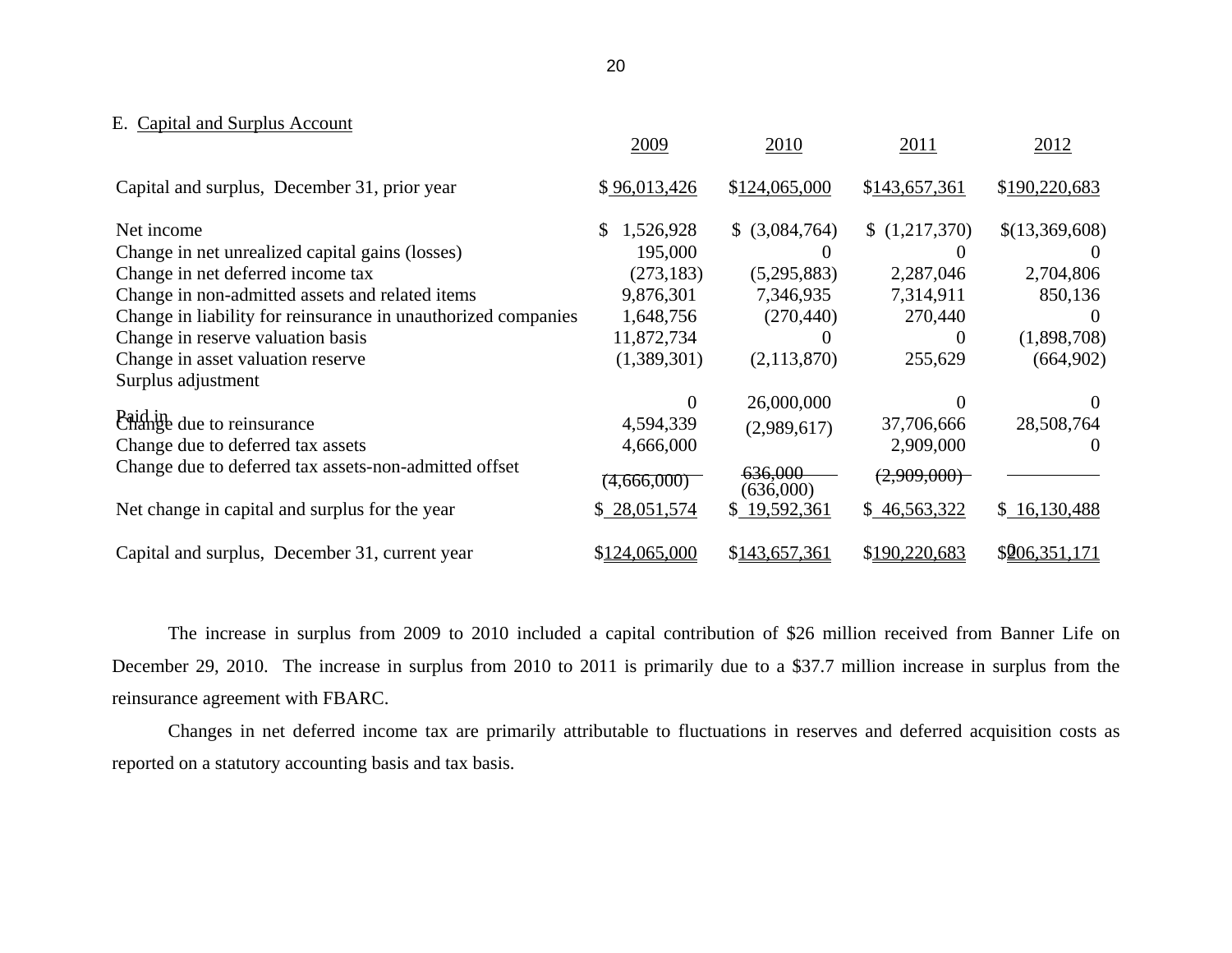#### E. Capital and Surplus Account

|                                                               | 2009            | 2010                 | 2011          | 2012           |
|---------------------------------------------------------------|-----------------|----------------------|---------------|----------------|
| Capital and surplus, December 31, prior year                  | \$96,013,426    | \$124,065,000        | \$143,657,361 | \$190,220,683  |
| Net income                                                    | 1,526,928<br>\$ | $$$ (3,084,764)      | (1,217,370)   | \$(13,369,608) |
| Change in net unrealized capital gains (losses)               | 195,000         | U                    |               |                |
| Change in net deferred income tax                             | (273, 183)      | (5,295,883)          | 2,287,046     | 2,704,806      |
| Change in non-admitted assets and related items               | 9,876,301       | 7,346,935            | 7,314,911     | 850,136        |
| Change in liability for reinsurance in unauthorized companies | 1,648,756       | (270, 440)           | 270,440       | $\theta$       |
| Change in reserve valuation basis                             | 11,872,734      |                      | $\theta$      | (1,898,708)    |
| Change in asset valuation reserve                             | (1,389,301)     | (2,113,870)          | 255,629       | (664,902)      |
| Surplus adjustment                                            |                 |                      |               |                |
|                                                               | 0               | 26,000,000           |               |                |
| Paid in<br>Change due to reinsurance                          | 4,594,339       | (2,989,617)          | 37,706,666    | 28,508,764     |
| Change due to deferred tax assets                             | 4,666,000       |                      | 2,909,000     | $\mathbf{0}$   |
| Change due to deferred tax assets-non-admitted offset         | (4,666,000)     | 636,000<br>(636,000) | (2,909,000)   |                |
| Net change in capital and surplus for the year                | \$28,051,574    | \$19,592,361         | \$46,563,322  | \$16,130,488   |
| Capital and surplus, December 31, current year                | \$124,065,000   | \$143,657,361        | \$190,220,683 | \$06,351,171   |

The increase in surplus from 2009 to 2010 included a capital contribution of \$26 million received from Banner Life on December 29, 2010. The increase in surplus from 2010 to 2011 is primarily due to a \$37.7 million increase in surplus from the reinsurance agreement with FBARC.

Changes in net deferred income tax are primarily attributable to fluctuations in reserves and deferred acquisition costs as reported on a statutory accounting basis and tax basis.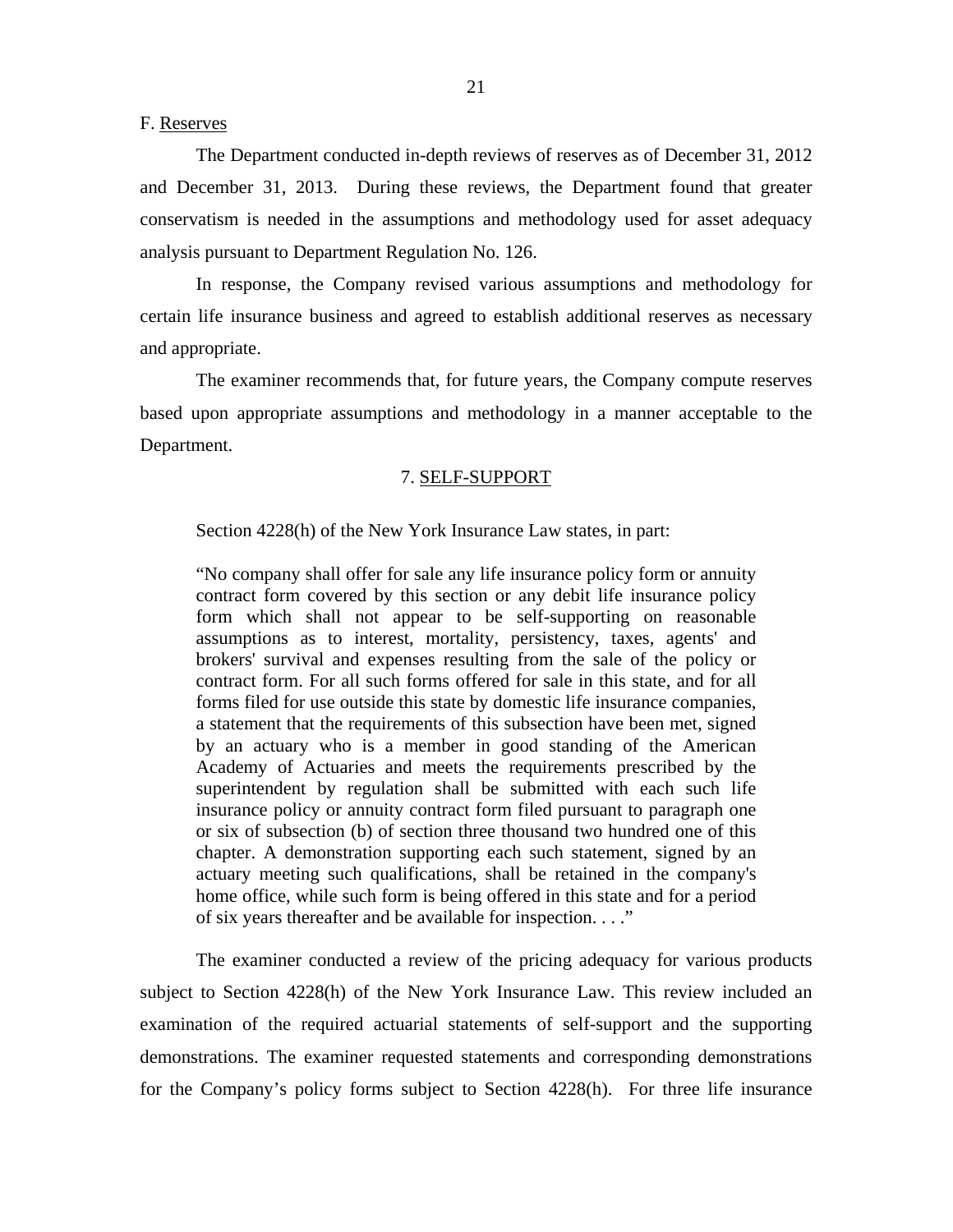<span id="page-23-0"></span>F. Reserves

The Department conducted in-depth reviews of reserves as of December 31, 2012 and December 31, 2013. During these reviews, the Department found that greater conservatism is needed in the assumptions and methodology used for asset adequacy analysis pursuant to Department Regulation No. 126.

In response, the Company revised various assumptions and methodology for certain life insurance business and agreed to establish additional reserves as necessary and appropriate.

The examiner recommends that, for future years, the Company compute reserves based upon appropriate assumptions and methodology in a manner acceptable to the Department.

#### 7. SELF-SUPPORT

Section 4228(h) of the New York Insurance Law states, in part:

"No company shall offer for sale any life insurance policy form or annuity contract form covered by this section or any debit life insurance policy form which shall not appear to be self-supporting on reasonable assumptions as to interest, mortality, persistency, taxes, agents' and brokers' survival and expenses resulting from the sale of the policy or contract form. For all such forms offered for sale in this state, and for all forms filed for use outside this state by domestic life insurance companies, a statement that the requirements of this subsection have been met, signed by an actuary who is a member in good standing of the American Academy of Actuaries and meets the requirements prescribed by the superintendent by regulation shall be submitted with each such life insurance policy or annuity contract form filed pursuant to paragraph one or six of subsection (b) of section three thousand two hundred one of this chapter. A demonstration supporting each such statement, signed by an actuary meeting such qualifications, shall be retained in the company's home office, while such form is being offered in this state and for a period of six years thereafter and be available for inspection. . . ."

The examiner conducted a review of the pricing adequacy for various products subject to Section 4228(h) of the New York Insurance Law. This review included an examination of the required actuarial statements of self-support and the supporting demonstrations. The examiner requested statements and corresponding demonstrations for the Company's policy forms subject to Section 4228(h). For three life insurance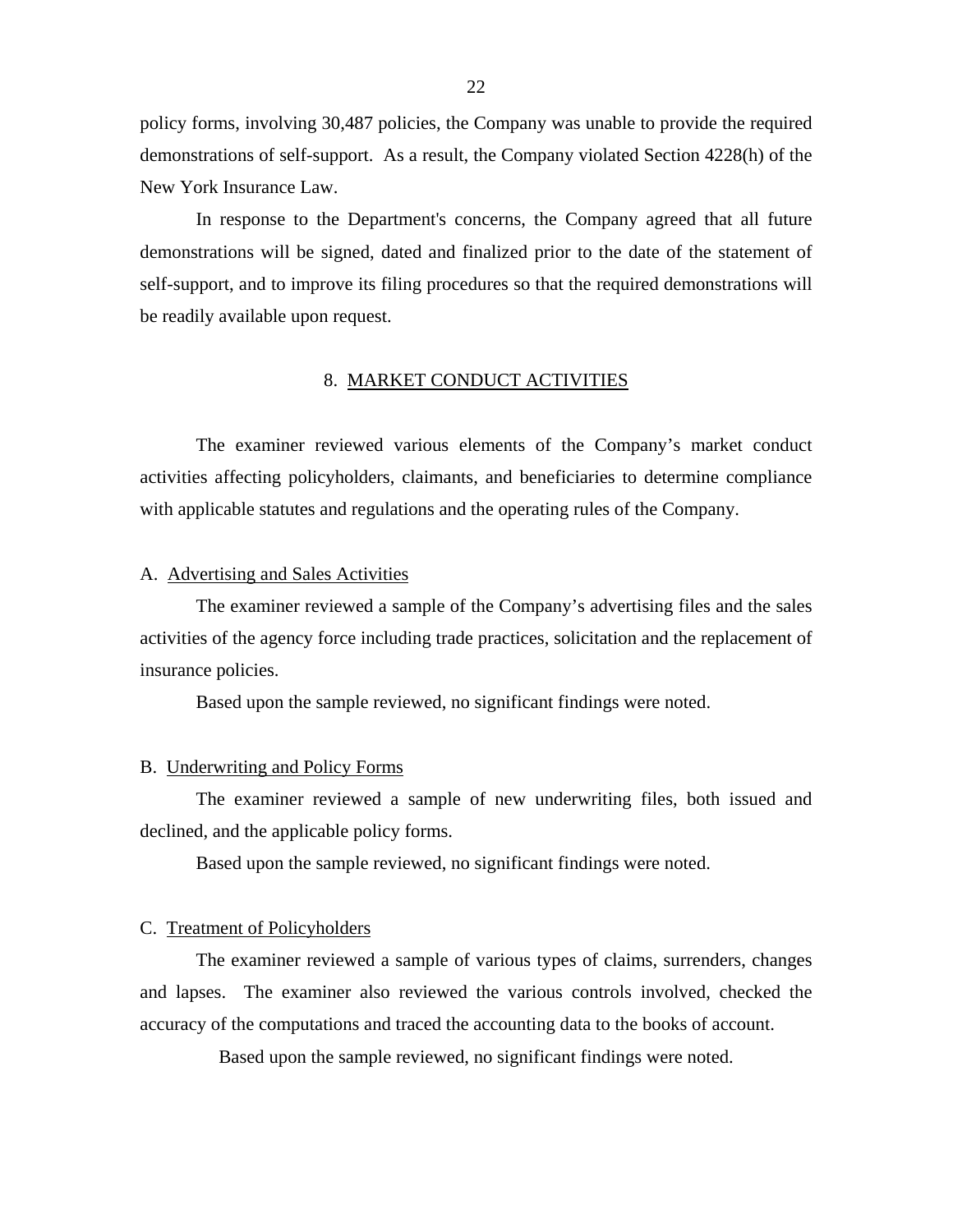<span id="page-24-0"></span>policy forms, involving 30,487 policies, the Company was unable to provide the required demonstrations of self-support. As a result, the Company violated Section 4228(h) of the New York Insurance Law.

In response to the Department's concerns, the Company agreed that all future demonstrations will be signed, dated and finalized prior to the date of the statement of self-support, and to improve its filing procedures so that the required demonstrations will be readily available upon request.

#### 8. MARKET CONDUCT ACTIVITIES

The examiner reviewed various elements of the Company's market conduct activities affecting policyholders, claimants, and beneficiaries to determine compliance with applicable statutes and regulations and the operating rules of the Company.

#### A. Advertising and Sales Activities

The examiner reviewed a sample of the Company's advertising files and the sales activities of the agency force including trade practices, solicitation and the replacement of insurance policies.

Based upon the sample reviewed, no significant findings were noted.

#### B. Underwriting and Policy Forms

The examiner reviewed a sample of new underwriting files, both issued and declined, and the applicable policy forms.

Based upon the sample reviewed, no significant findings were noted.

#### C. Treatment of Policyholders

The examiner reviewed a sample of various types of claims, surrenders, changes and lapses. The examiner also reviewed the various controls involved, checked the accuracy of the computations and traced the accounting data to the books of account.

Based upon the sample reviewed, no significant findings were noted.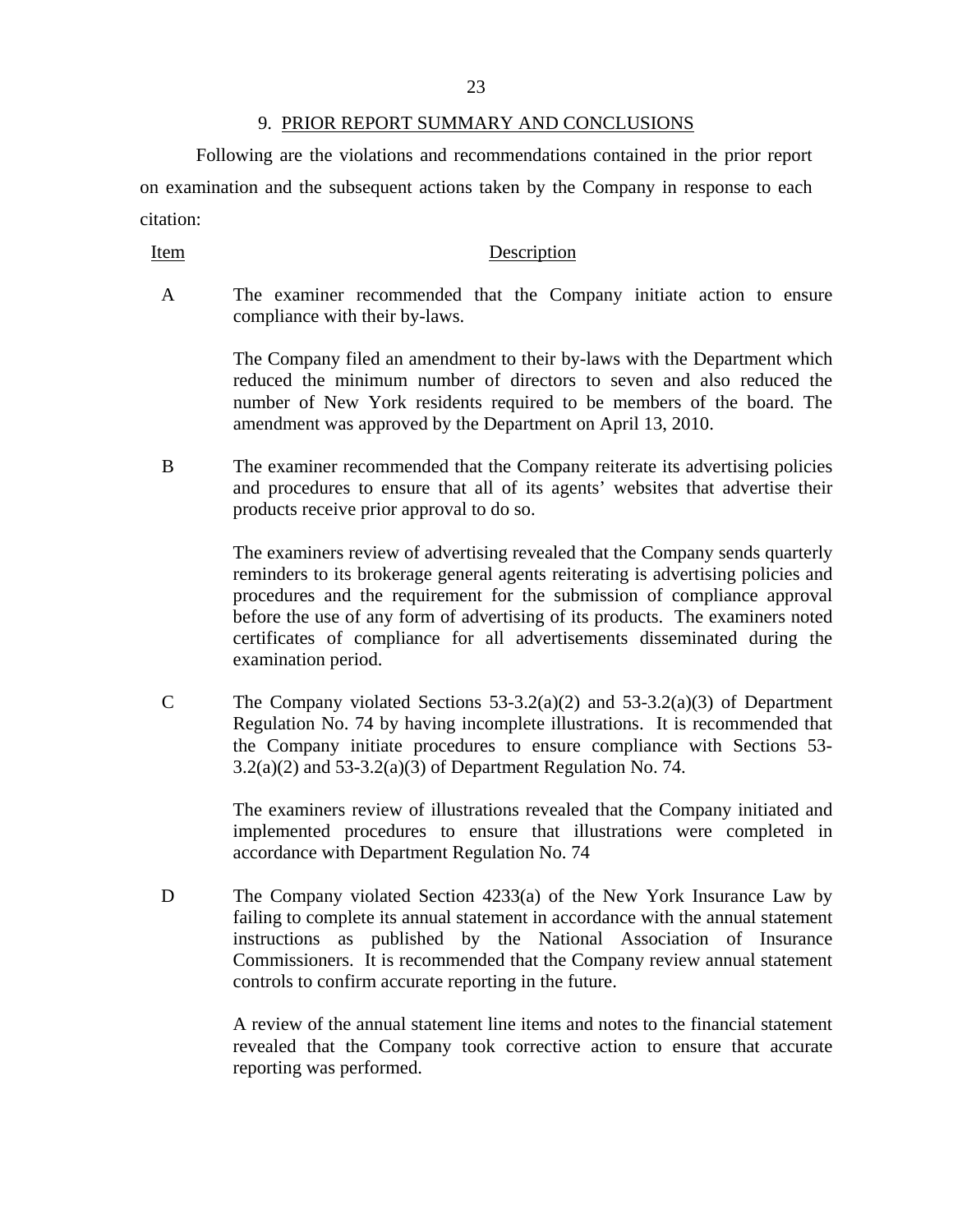#### 9. PRIOR REPORT SUMMARY AND CONCLUSIONS

Following are the violations and recommendations contained in the prior report on examination and the subsequent actions taken by the Company in response to each citation:

#### Item Description

A The examiner recommended that the Company initiate action to ensure compliance with their by-laws.

> The Company filed an amendment to their by-laws with the Department which reduced the minimum number of directors to seven and also reduced the number of New York residents required to be members of the board. The amendment was approved by the Department on April 13, 2010.

B The examiner recommended that the Company reiterate its advertising policies and procedures to ensure that all of its agents' websites that advertise their products receive prior approval to do so.

> The examiners review of advertising revealed that the Company sends quarterly reminders to its brokerage general agents reiterating is advertising policies and procedures and the requirement for the submission of compliance approval before the use of any form of advertising of its products. The examiners noted certificates of compliance for all advertisements disseminated during the examination period.

C The Company violated Sections  $53-3.2(a)(2)$  and  $53-3.2(a)(3)$  of Department Regulation No. 74 by having incomplete illustrations. It is recommended that the Company initiate procedures to ensure compliance with Sections 53-  $3.2(a)(2)$  and  $53-3.2(a)(3)$  of Department Regulation No. 74.

> The examiners review of illustrations revealed that the Company initiated and implemented procedures to ensure that illustrations were completed in accordance with Department Regulation No. 74

D The Company violated Section 4233(a) of the New York Insurance Law by failing to complete its annual statement in accordance with the annual statement instructions as published by the National Association of Insurance Commissioners. It is recommended that the Company review annual statement controls to confirm accurate reporting in the future.

> A review of the annual statement line items and notes to the financial statement revealed that the Company took corrective action to ensure that accurate reporting was performed.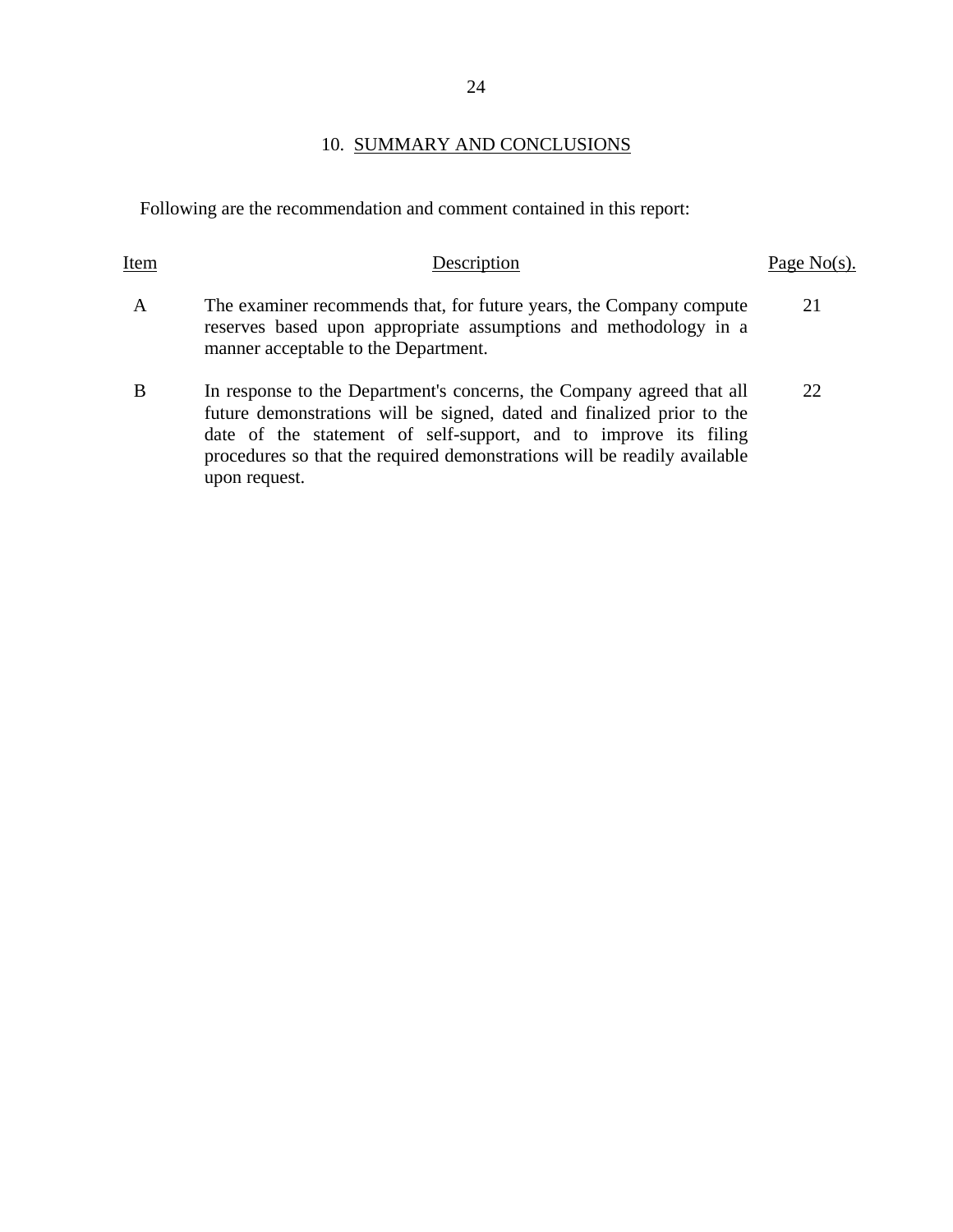Following are the recommendation and comment contained in this report:

| Item | Description                                                                                                                                                                                                                                                                                                      | Page $No(s)$ . |
|------|------------------------------------------------------------------------------------------------------------------------------------------------------------------------------------------------------------------------------------------------------------------------------------------------------------------|----------------|
| A    | The examiner recommends that, for future years, the Company compute<br>reserves based upon appropriate assumptions and methodology in a<br>manner acceptable to the Department.                                                                                                                                  | 21             |
| B    | In response to the Department's concerns, the Company agreed that all<br>future demonstrations will be signed, dated and finalized prior to the<br>date of the statement of self-support, and to improve its filing<br>procedures so that the required demonstrations will be readily available<br>upon request. | 22.            |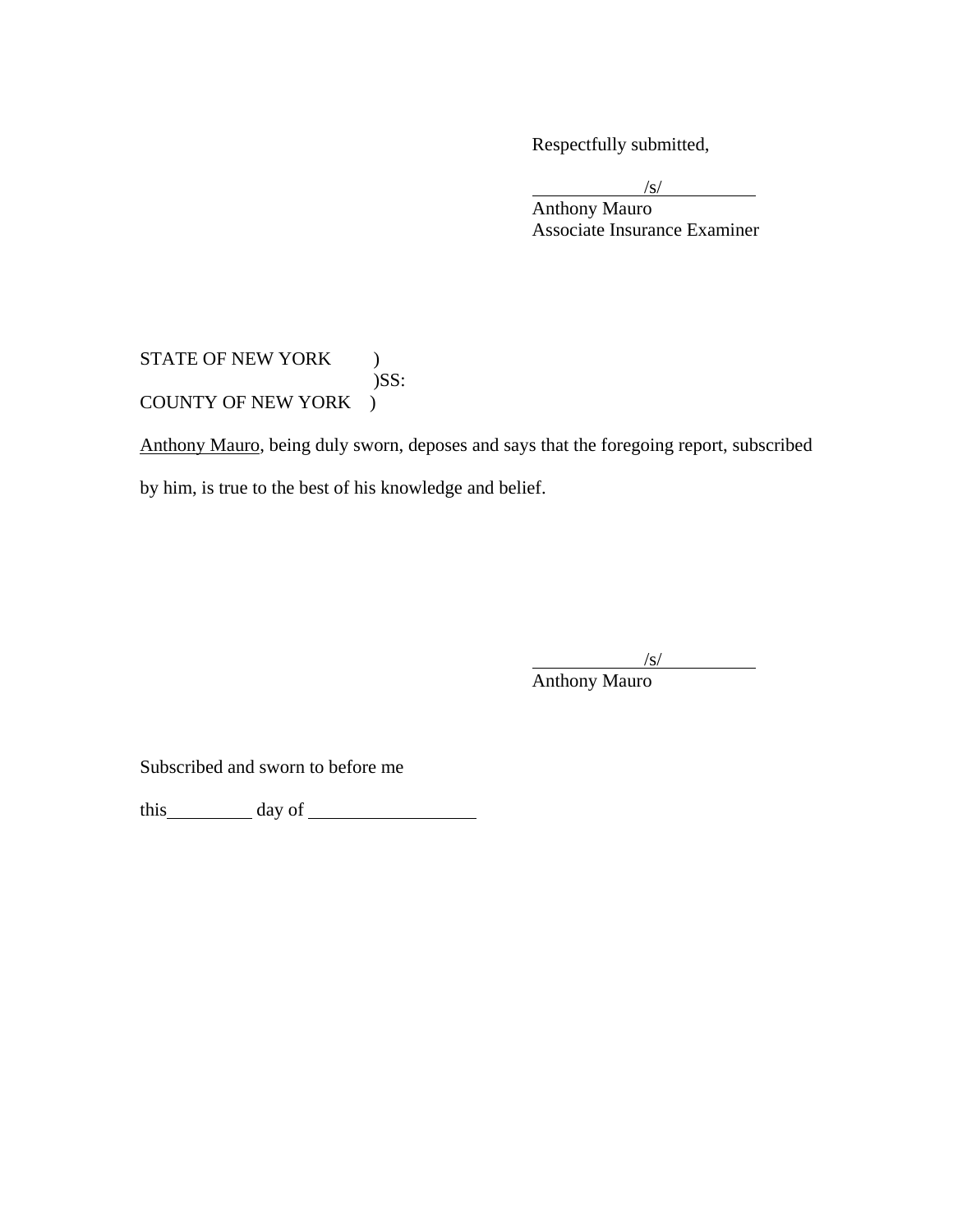Respectfully submitted,

 $\sqrt{s}$ 

 Anthony Mauro Associate Insurance Examiner

### STATE OF NEW YORK ) )SS: COUNTY OF NEW YORK )

Anthony Mauro, being duly sworn, deposes and says that the foregoing report, subscribed by him, is true to the best of his knowledge and belief.

/s/

 $\sqrt{s}$ /s/

Anthony Mauro

Subscribed and sworn to before me

this day of